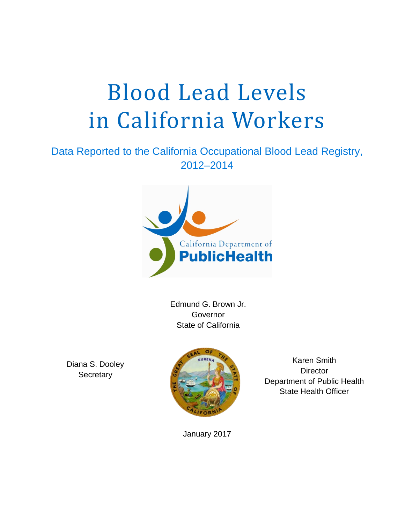# Blood Lead Levels in California Workers

# 2012-2014 Data Reported to the California Occupational Blood Lead Registry,



Governor State of California

Diana S. Dooley **Secretary** 



Karen Smith **Director** Department of Public Health State Health Officer

January 2017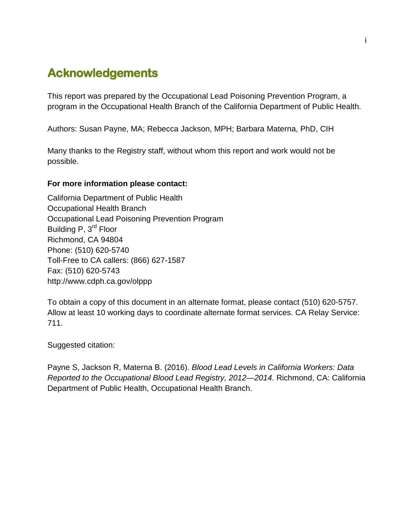# <span id="page-1-0"></span>**Acknowledgements**

This report was prepared by the Occupational Lead Poisoning Prevention Program, a program in the Occupational Health Branch of the California Department of Public Health.

Authors: Susan Payne, MA; Rebecca Jackson, MPH; Barbara Materna, PhD, CIH

Many thanks to the Registry staff, without whom this report and work would not be possible.

#### **For more information please contact:**

Building P, 3<sup>rd</sup> Floor California Department of Public Health Occupational Health Branch Occupational Lead Poisoning Prevention Program Richmond, CA 94804 Phone: (510) 620-5740 Toll-Free to CA callers: (866) 627-1587 Fax: (510) 620-5743 http://www.cdph.ca.gov/olppp

To obtain a copy of this document in an alternate format, please contact (510) 620-5757. Allow at least 10 working days to coordinate alternate format services. CA Relay Service: 711.

Suggested citation:

Payne S, Jackson R, Materna B. (2016). *Blood Lead Levels in California Workers: Data Reported to the Occupational Blood Lead Registry, 2012—2014*. Richmond, CA: California Department of Public Health, Occupational Health Branch.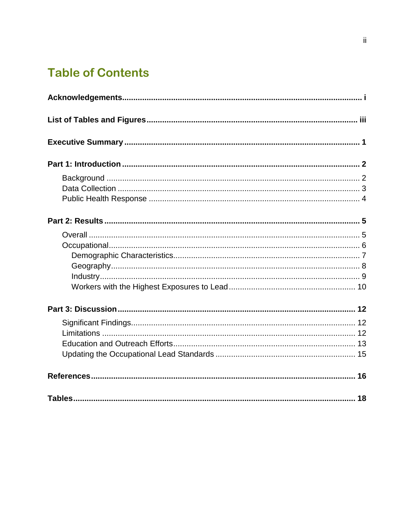# **Table of Contents**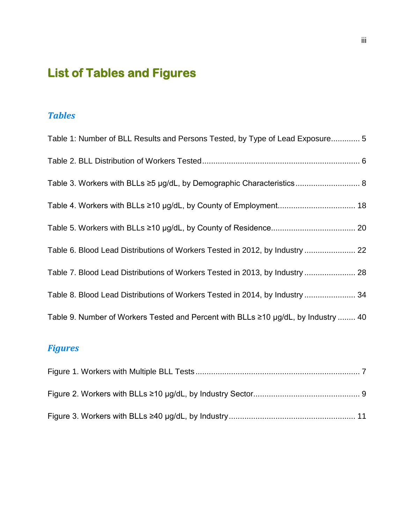# <span id="page-3-0"></span>**List of Tables and Figures**

## *Tables*

| Table 1: Number of BLL Results and Persons Tested, by Type of Lead Exposure 5      |
|------------------------------------------------------------------------------------|
|                                                                                    |
|                                                                                    |
|                                                                                    |
|                                                                                    |
| Table 6. Blood Lead Distributions of Workers Tested in 2012, by Industry  22       |
| Table 7. Blood Lead Distributions of Workers Tested in 2013, by Industry  28       |
| Table 8. Blood Lead Distributions of Workers Tested in 2014, by Industry  34       |
| Table 9. Number of Workers Tested and Percent with BLLs ≥10 µg/dL, by Industry  40 |

# *Figures*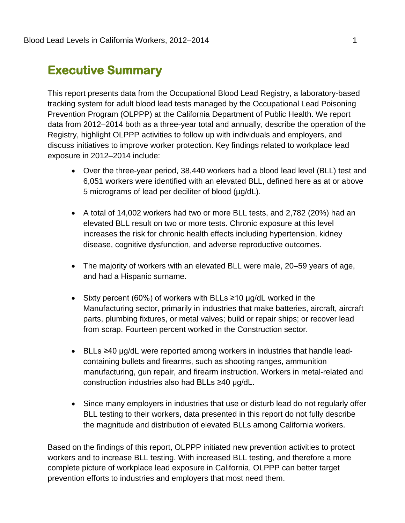# <span id="page-4-0"></span>**Executive Summary**

This report presents data from the Occupational Blood Lead Registry, a laboratory-based tracking system for adult blood lead tests managed by the Occupational Lead Poisoning Prevention Program (OLPPP) at the California Department of Public Health. We report data from 2012–2014 both as a three-year total and annually, describe the operation of the Registry, highlight OLPPP activities to follow up with individuals and employers, and discuss initiatives to improve worker protection. Key findings related to workplace lead exposure in 2012–2014 include:

- 6,051 workers were identified with an elevated BLL, defined here as at or above • Over the three-year period, 38,440 workers had a blood lead level (BLL) test and 5 micrograms of lead per deciliter of blood (µg/dL).
- elevated BLL result on two or more tests. Chronic exposure at this level • A total of 14,002 workers had two or more BLL tests, and 2,782 (20%) had an increases the risk for chronic health effects including hypertension, kidney disease, cognitive dysfunction, and adverse reproductive outcomes.
- The majority of workers with an elevated BLL were male, 20–59 years of age, and had a Hispanic surname.
- • Sixty percent (60%) of workers with BLLs ≥10 µg/dL worked in the Manufacturing sector, primarily in industries that make batteries, aircraft, aircraft parts, plumbing fixtures, or metal valves; build or repair ships; or recover lead from scrap. Fourteen percent worked in the Construction sector.
- • BLLs ≥40 µg/dL were reported among workers in industries that handle leadcontaining bullets and firearms, such as shooting ranges, ammunition manufacturing, gun repair, and firearm instruction. Workers in metal-related and construction industries also had BLLs ≥40 µg/dL.
- BLL testing to their workers, data presented in this report do not fully describe • Since many employers in industries that use or disturb lead do not regularly offer the magnitude and distribution of elevated BLLs among California workers.

Based on the findings of this report, OLPPP initiated new prevention activities to protect workers and to increase BLL testing. With increased BLL testing, and therefore a more complete picture of workplace lead exposure in California, OLPPP can better target prevention efforts to industries and employers that most need them.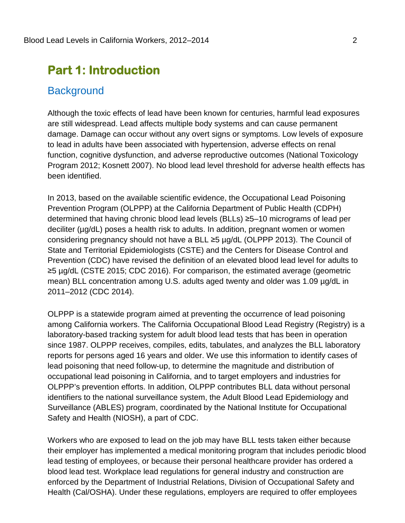# <span id="page-5-0"></span>**Part 1: Introduction**

#### <span id="page-5-1"></span>**Background**

 to lead in adults have been associated with hypertension, adverse effects on renal Program 2012; Kosnett 2007). No blood lead level threshold for adverse health effects has been identified. Although the toxic effects of lead have been known for centuries, harmful lead exposures are still widespread. Lead affects multiple body systems and can cause permanent damage. Damage can occur without any overt signs or symptoms. Low levels of exposure function, cognitive dysfunction, and adverse reproductive outcomes (National Toxicology

 Prevention Program (OLPPP) at the California Department of Public Health (CDPH) deciliter (µg/dL) poses a health risk to adults. In addition, pregnant women or women considering pregnancy should not have a BLL ≥5 µg/dL (OLPPP 2013). The Council of State and Territorial Epidemiologists (CSTE) and the Centers for Disease Control and 2011–2012 (CDC 2014). In 2013, based on the available scientific evidence, the Occupational Lead Poisoning determined that having chronic blood lead levels (BLLs) ≥5–10 micrograms of lead per Prevention (CDC) have revised the definition of an elevated blood lead level for adults to ≥5 µg/dL (CSTE 2015; CDC 2016). For comparison, the estimated average (geometric mean) BLL concentration among U.S. adults aged twenty and older was 1.09 µg/dL in

 among California workers. The California Occupational Blood Lead Registry (Registry) is a laboratory-based tracking system for adult blood lead tests that has been in operation reports for persons aged 16 years and older. We use this information to identify cases of lead poisoning that need follow-up, to determine the magnitude and distribution of Safety and Health (NIOSH), a part of CDC. OLPPP is a statewide program aimed at preventing the occurrence of lead poisoning since 1987. OLPPP receives, compiles, edits, tabulates, and analyzes the BLL laboratory occupational lead poisoning in California, and to target employers and industries for OLPPP's prevention efforts. In addition, OLPPP contributes BLL data without personal identifiers to the national surveillance system, the Adult Blood Lead Epidemiology and Surveillance (ABLES) program, coordinated by the National Institute for Occupational

 their employer has implemented a medical monitoring program that includes periodic blood lead testing of employees, or because their personal healthcare provider has ordered a Workers who are exposed to lead on the job may have BLL tests taken either because blood lead test. Workplace lead regulations for general industry and construction are enforced by the Department of Industrial Relations, Division of Occupational Safety and Health (Cal/OSHA). Under these regulations, employers are required to offer employees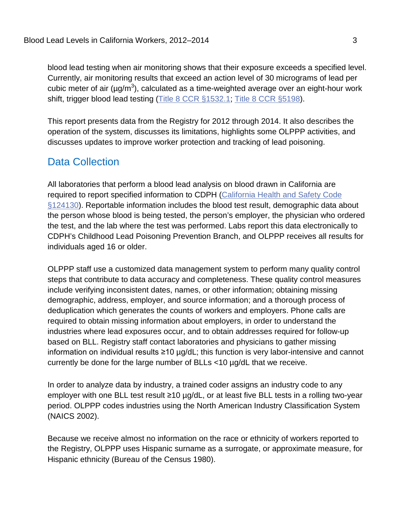blood lead testing when air monitoring shows that their exposure exceeds a specified level. Currently, air monitoring results that exceed an action level of 30 micrograms of lead per cubic meter of air ( $\mu$ g/m<sup>3</sup>), calculated as a time-weighted average over an eight-hour work shift, trigger blood lead testing [\(Title 8 CCR §1532.1;](https://www.dir.ca.gov/title8/1532_1.html) [Title 8 CCR §5198\)](https://www.dir.ca.gov/title8/5198.html).

This report presents data from the Registry for 2012 through 2014. It also describes the operation of the system, discusses its limitations, highlights some OLPPP activities, and discusses updates to improve worker protection and tracking of lead poisoning.

### <span id="page-6-0"></span>Data Collection

 CDPH's Childhood Lead Poisoning Prevention Branch, and OLPPP receives all results for individuals aged 16 or older. All laboratories that perform a blood lead analysis on blood drawn in California are required to report specified information to CDPH [\(California Health and Safety Code](https://www.cdph.ca.gov/programs/CLPPB/Documents/HandS_124130.pdf)  [§124130\)](https://www.cdph.ca.gov/programs/CLPPB/Documents/HandS_124130.pdf). Reportable information includes the blood test result, demographic data about the person whose blood is being tested, the person's employer, the physician who ordered the test, and the lab where the test was performed. Labs report this data electronically to

 demographic, address, employer, and source information; and a thorough process of based on BLL. Registry staff contact laboratories and physicians to gather missing information on individual results ≥10 µg/dL; this function is very labor-intensive and cannot currently be done for the large number of BLLs <10 µg/dL that we receive. OLPPP staff use a customized data management system to perform many quality control steps that contribute to data accuracy and completeness. These quality control measures include verifying inconsistent dates, names, or other information; obtaining missing deduplication which generates the counts of workers and employers. Phone calls are required to obtain missing information about employers, in order to understand the industries where lead exposures occur, and to obtain addresses required for follow-up

 In order to analyze data by industry, a trained coder assigns an industry code to any employer with one BLL test result ≥10 µg/dL, or at least five BLL tests in a rolling two-year (NAICS 2002). period. OLPPP codes industries using the North American Industry Classification System

 the Registry, OLPPP uses Hispanic surname as a surrogate, or approximate measure, for Because we receive almost no information on the race or ethnicity of workers reported to Hispanic ethnicity (Bureau of the Census 1980).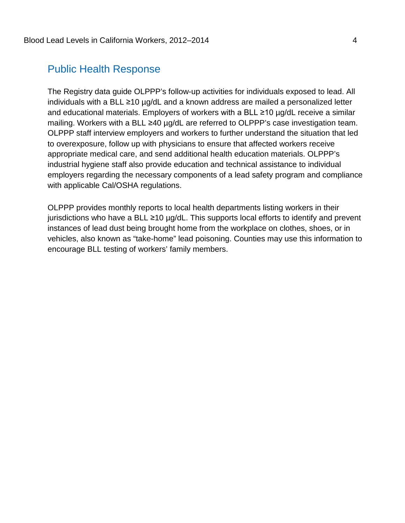#### <span id="page-7-0"></span>Public Health Response

 individuals with a BLL ≥10 µg/dL and a known address are mailed a personalized letter OLPPP staff interview employers and workers to further understand the situation that led with applicable Cal/OSHA regulations. The Registry data guide OLPPP's follow-up activities for individuals exposed to lead. All and educational materials. Employers of workers with a BLL ≥10 µg/dL receive a similar mailing. Workers with a BLL ≥40 µg/dL are referred to OLPPP's case investigation team. to overexposure, follow up with physicians to ensure that affected workers receive appropriate medical care, and send additional health education materials. OLPPP's industrial hygiene staff also provide education and technical assistance to individual employers regarding the necessary components of a lead safety program and compliance

 jurisdictions who have a BLL ≥10 µg/dL. This supports local efforts to identify and prevent OLPPP provides monthly reports to local health departments listing workers in their instances of lead dust being brought home from the workplace on clothes, shoes, or in vehicles, also known as "take-home" lead poisoning. Counties may use this information to encourage BLL testing of workers' family members.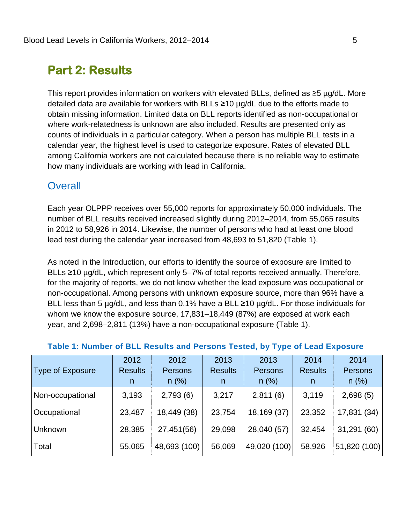# <span id="page-8-0"></span>**Part 2: Results**

 This report provides information on workers with elevated BLLs, defined as ≥5 µg/dL. More detailed data are available for workers with BLLs ≥10 µg/dL due to the efforts made to obtain missing information. Limited data on BLL reports identified as non-occupational or where work-relatedness is unknown are also included. Results are presented only as counts of individuals in a particular category. When a person has multiple BLL tests in a calendar year, the highest level is used to categorize exposure. Rates of elevated BLL among California workers are not calculated because there is no reliable way to estimate how many individuals are working with lead in California.

#### <span id="page-8-1"></span>**Overall**

 lead test during the calendar year increased from 48,693 to 51,820 (Table 1). Each year OLPPP receives over 55,000 reports for approximately 50,000 individuals. The number of BLL results received increased slightly during 2012–2014, from 55,065 results in 2012 to 58,926 in 2014. Likewise, the number of persons who had at least one blood

 BLL less than 5 µg/dL, and less than 0.1% have a BLL ≥10 µg/dL. For those individuals for year, and 2,698–2,811 (13%) have a non-occupational exposure (Table 1). As noted in the Introduction, our efforts to identify the source of exposure are limited to BLLs ≥10 µg/dL, which represent only 5–7% of total reports received annually. Therefore, for the majority of reports, we do not know whether the lead exposure was occupational or non-occupational. Among persons with unknown exposure source, more than 96% have a whom we know the exposure source, 17,831–18,449 (87%) are exposed at work each

|                         | 2012           | 2012         | 2013           | 2013         | 2014           | 2014           |
|-------------------------|----------------|--------------|----------------|--------------|----------------|----------------|
| <b>Type of Exposure</b> | <b>Results</b> | Persons      | <b>Results</b> | Persons      | <b>Results</b> | <b>Persons</b> |
|                         | n.             | n(%)         | n.             | n(%)         | n              | n(%)           |
| Non-occupational        | 3,193          | 2,793(6)     | 3,217          | 2,811(6)     | 3,119          | 2,698(5)       |
| Occupational            | 23,487         | 18,449 (38)  | 23,754         | 18,169 (37)  | 23,352         | 17,831 (34)    |
| <b>Unknown</b>          | 28,385         | 27,451(56)   | 29,098         | 28,040 (57)  | 32,454         | 31,291 (60)    |
| Total                   | 55,065         | 48,693 (100) | 56,069         | 49,020 (100) | 58,926         | 51,820 (100)   |

#### <span id="page-8-2"></span>**Table 1: Number of BLL Results and Persons Tested, by Type of Lead Exposure**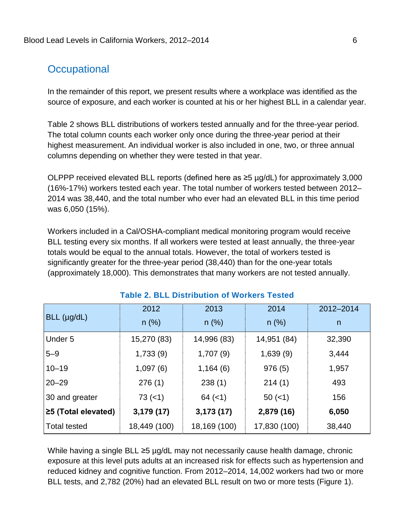### <span id="page-9-0"></span>Occupational

**Occupational**<br>In the remainder of this report, we present results where a workplace was identified as the source of exposure, and each worker is counted at his or her highest BLL in a calendar year.

Table 2 shows BLL distributions of workers tested annually and for the three-year period. The total column counts each worker only once during the three-year period at their highest measurement. An individual worker is also included in one, two, or three annual columns depending on whether they were tested in that year.

 OLPPP received elevated BLL reports (defined here as ≥5 µg/dL) for approximately 3,000 was 6,050 (15%). (16%-17%) workers tested each year. The total number of workers tested between 2012– 2014 was 38,440, and the total number who ever had an elevated BLL in this time period

 significantly greater for the three-year period (38,440) than for the one-year totals Workers included in a Cal/OSHA-compliant medical monitoring program would receive BLL testing every six months. If all workers were tested at least annually, the three-year totals would be equal to the annual totals. However, the total of workers tested is (approximately 18,000). This demonstrates that many workers are not tested annually.

<span id="page-9-1"></span>

|                     | 2012         | 2013         | 2014         | 2012-2014 |
|---------------------|--------------|--------------|--------------|-----------|
| BLL (µg/dL)         | $n$ (%)      | $n$ (%)      | $n$ (%)      | n         |
| Under 5             | 15,270 (83)  | 14,996 (83)  | 14,951 (84)  | 32,390    |
| $5 - 9$             | 1,733(9)     | 1,707(9)     | 1,639(9)     | 3,444     |
| $10 - 19$           | 1,097(6)     | 1,164(6)     | 976(5)       | 1,957     |
| $20 - 29$           | 276(1)       | 238(1)       | 214(1)       | 493       |
| 30 and greater      | 73(1)        | $64 (=1)$    | $50 (=1)$    | 156       |
| ≥5 (Total elevated) | 3,179(17)    | 3,173(17)    | 2,879 (16)   | 6,050     |
| <b>Total tested</b> | 18,449 (100) | 18,169 (100) | 17,830 (100) | 38,440    |

#### **Table 2. BLL Distribution of Workers Tested**

 While having a single BLL ≥5 µg/dL may not necessarily cause health damage, chronic exposure at this level puts adults at an increased risk for effects such as hypertension and BLL tests, and 2,782 (20%) had an elevated BLL result on two or more tests (Figure 1). reduced kidney and cognitive function. From 2012–2014, 14,002 workers had two or more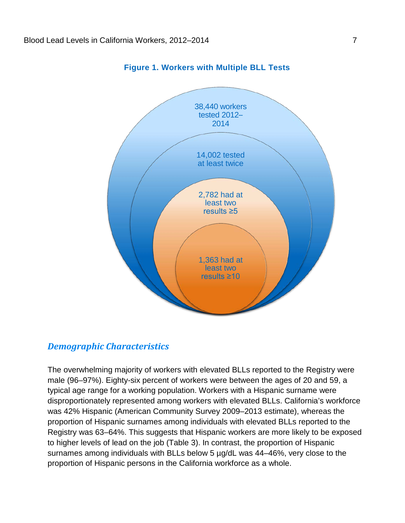<span id="page-10-1"></span>

**Figure 1. Workers with Multiple BLL Tests** 

#### <span id="page-10-0"></span>*Demographic Characteristics*

 male (96–97%). Eighty-six percent of workers were between the ages of 20 and 59, a surnames among individuals with BLLs below 5 µg/dL was 44–46%, very close to the proportion of Hispanic persons in the California workforce as a whole. The overwhelming majority of workers with elevated BLLs reported to the Registry were typical age range for a working population. Workers with a Hispanic surname were disproportionately represented among workers with elevated BLLs. California's workforce was 42% Hispanic (American Community Survey 2009–2013 estimate), whereas the proportion of Hispanic surnames among individuals with elevated BLLs reported to the Registry was 63–64%. This suggests that Hispanic workers are more likely to be exposed to higher levels of lead on the job (Table 3). In contrast, the proportion of Hispanic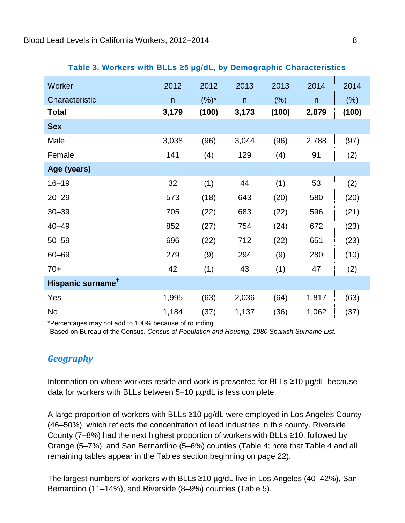<span id="page-11-1"></span>

| Worker                        | 2012         | 2012    | 2013  | 2013    | 2014         | 2014    |
|-------------------------------|--------------|---------|-------|---------|--------------|---------|
| Characteristic                | $\mathsf{n}$ | $(%)^*$ | n     | $(\% )$ | $\mathsf{n}$ | $(\% )$ |
| <b>Total</b>                  | 3,179        | (100)   | 3,173 | (100)   | 2,879        | (100)   |
| <b>Sex</b>                    |              |         |       |         |              |         |
| Male                          | 3,038        | (96)    | 3,044 | (96)    | 2,788        | (97)    |
| Female                        | 141          | (4)     | 129   | (4)     | 91           | (2)     |
| Age (years)                   |              |         |       |         |              |         |
| $16 - 19$                     | 32           | (1)     | 44    | (1)     | 53           | (2)     |
| $20 - 29$                     | 573          | (18)    | 643   | (20)    | 580          | (20)    |
| $30 - 39$                     | 705          | (22)    | 683   | (22)    | 596          | (21)    |
| $40 - 49$                     | 852          | (27)    | 754   | (24)    | 672          | (23)    |
| $50 - 59$                     | 696          | (22)    | 712   | (22)    | 651          | (23)    |
| $60 - 69$                     | 279          | (9)     | 294   | (9)     | 280          | (10)    |
| $70+$                         | 42           | (1)     | 43    | (1)     | 47           | (2)     |
| Hispanic surname <sup>†</sup> |              |         |       |         |              |         |
| Yes                           | 1,995        | (63)    | 2,036 | (64)    | 1,817        | (63)    |
| <b>No</b>                     | 1,184        | (37)    | 1,137 | (36)    | 1,062        | (37)    |

#### **Table 3. Workers with BLLs ≥5 µg/dL, by Demographic Characteristics**

\*Percentages may not add to 100% because of rounding.

† Based on Bureau of the Census. *Census of Population and Housing, 1980 Spanish Surname List.* 

#### <span id="page-11-0"></span>*Geography*

 Information on where workers reside and work is presented for BLLs ≥10 µg/dL because data for workers with BLLs between 5–10 µg/dL is less complete.

 A large proportion of workers with BLLs ≥10 µg/dL were employed in Los Angeles County (46–50%), which reflects the concentration of lead industries in this county. Riverside County (7–8%) had the next highest proportion of workers with BLLs ≥10, followed by Orange (5–7%), and San Bernardino (5–6%) counties (Table 4; note that Table 4 and all remaining tables appear in the Tables section beginning on page 22).

remaining tables appear in the Tables section beginning on page 22).<br>The largest numbers of workers with BLLs ≥10 µg/dL live in Los Angeles (40–42%), San Bernardino (11–14%), and Riverside (8–9%) counties (Table 5).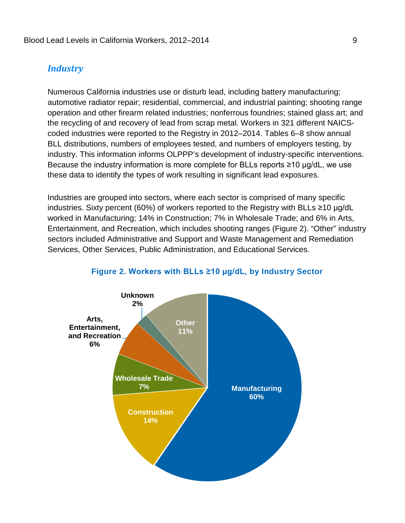#### <span id="page-12-0"></span>*Industry*

 Numerous California industries use or disturb lead, including battery manufacturing; coded industries were reported to the Registry in 2012–2014. Tables 6–8 show annual BLL distributions, numbers of employees tested, and numbers of employers testing, by industry. This information informs OLPPP's development of industry-specific interventions. Because the industry information is more complete for BLLs reports ≥10 µg/dL, we use automotive radiator repair; residential, commercial, and industrial painting; shooting range operation and other firearm related industries; nonferrous foundries; stained glass art; and the recycling of and recovery of lead from scrap metal. Workers in 321 different NAICSthese data to identify the types of work resulting in significant lead exposures.

 Entertainment, and Recreation, which includes shooting ranges (Figure 2). "Other" industry Services, Other Services, Public Administration, and Educational Services. Industries are grouped into sectors, where each sector is comprised of many specific industries. Sixty percent (60%) of workers reported to the Registry with BLLs ≥10 µg/dL worked in Manufacturing; 14% in Construction; 7% in Wholesale Trade; and 6% in Arts, sectors included Administrative and Support and Waste Management and Remediation

<span id="page-12-1"></span>

#### **Figure 2. Workers with BLLs ≥10 µg/dL, by Industry Sector**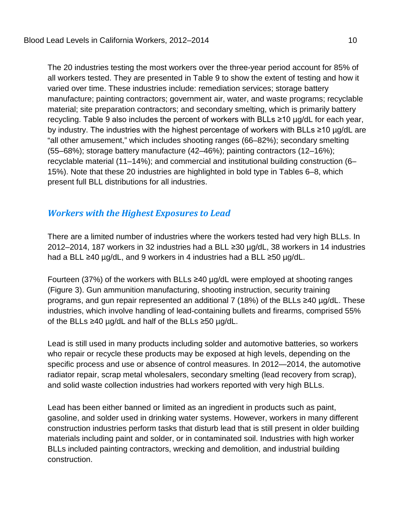all workers tested. They are presented in Table 9 to show the extent of testing and how it varied over time. These industries include: remediation services; storage battery recycling. Table 9 also includes the percent of workers with BLLs ≥10 µg/dL for each year, by industry. The industries with the highest percentage of workers with BLLs ≥10 µg/dL are "all other amusement," which includes shooting ranges (66–82%); secondary smelting present full BLL distributions for all industries. The 20 industries testing the most workers over the three-year period account for 85% of manufacture; painting contractors; government air, water, and waste programs; recyclable material; site preparation contractors; and secondary smelting, which is primarily battery (55–68%); storage battery manufacture (42–46%); painting contractors (12–16%); recyclable material (11–14%); and commercial and institutional building construction (6– 15%). Note that these 20 industries are highlighted in bold type in Tables 6–8, which

### <span id="page-13-0"></span>*Workers with the Highest Exposures to Lead*

 2012–2014, 187 workers in 32 industries had a BLL ≥30 µg/dL, 38 workers in 14 industries There are a limited number of industries where the workers tested had very high BLLs. In had a BLL ≥40 µg/dL, and 9 workers in 4 industries had a BLL ≥50 µg/dL.

 Fourteen (37%) of the workers with BLLs ≥40 µg/dL were employed at shooting ranges (Figure 3). Gun ammunition manufacturing, shooting instruction, security training industries, which involve handling of lead-containing bullets and firearms, comprised 55% of the BLLs ≥40 µg/dL and half of the BLLs ≥50 µg/dL. programs, and gun repair represented an additional 7 (18%) of the BLLs ≥40 µg/dL. These

 Lead is still used in many products including solder and automotive batteries, so workers who repair or recycle these products may be exposed at high levels, depending on the specific process and use or absence of control measures. In 2012—2014, the automotive radiator repair, scrap metal wholesalers, secondary smelting (lead recovery from scrap), and solid waste collection industries had workers reported with very high BLLs.

 construction industries perform tasks that disturb lead that is still present in older building Lead has been either banned or limited as an ingredient in products such as paint, gasoline, and solder used in drinking water systems. However, workers in many different materials including paint and solder, or in contaminated soil. Industries with high worker BLLs included painting contractors, wrecking and demolition, and industrial building construction.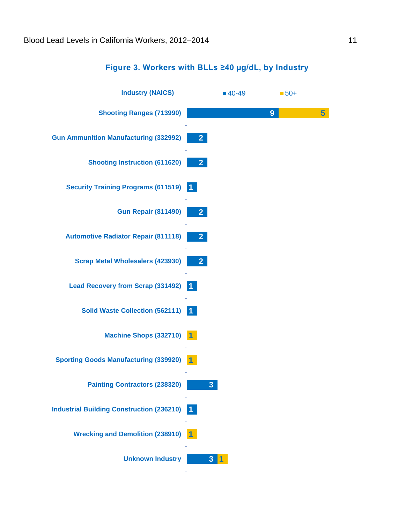<span id="page-14-0"></span>

#### **Figure 3. Workers with BLLs ≥40 µg/dL, by Industry**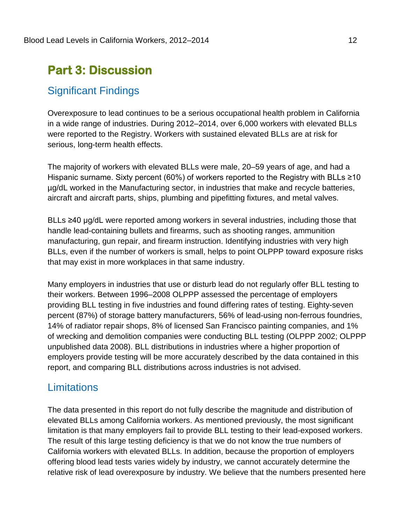# <span id="page-15-0"></span>**Part 3: Discussion**

### <span id="page-15-1"></span>Significant Findings

 in a wide range of industries. During 2012–2014, over 6,000 workers with elevated BLLs were reported to the Registry. Workers with sustained elevated BLLs are at risk for serious, long-term health effects. Overexposure to lead continues to be a serious occupational health problem in California

 The majority of workers with elevated BLLs were male, 20–59 years of age, and had a Hispanic surname. Sixty percent (60%) of workers reported to the Registry with BLLs ≥10 µg/dL worked in the Manufacturing sector, in industries that make and recycle batteries, aircraft and aircraft parts, ships, plumbing and pipefitting fixtures, and metal valves.

 BLLs ≥40 µg/dL were reported among workers in several industries, including those that manufacturing, gun repair, and firearm instruction. Identifying industries with very high that may exist in more workplaces in that same industry. handle lead-containing bullets and firearms, such as shooting ranges, ammunition BLLs, even if the number of workers is small, helps to point OLPPP toward exposure risks

 providing BLL testing in five industries and found differing rates of testing. Eighty-seven percent (87%) of storage battery manufacturers, 56% of lead-using non-ferrous foundries, 14% of radiator repair shops, 8% of licensed San Francisco painting companies, and 1% report, and comparing BLL distributions across industries is not advised. Many employers in industries that use or disturb lead do not regularly offer BLL testing to their workers. Between 1996–2008 OLPPP assessed the percentage of employers of wrecking and demolition companies were conducting BLL testing (OLPPP 2002; OLPPP unpublished data 2008). BLL distributions in industries where a higher proportion of employers provide testing will be more accurately described by the data contained in this

### <span id="page-15-2"></span>**Limitations**

 elevated BLLs among California workers. As mentioned previously, the most significant limitation is that many employers fail to provide BLL testing to their lead-exposed workers. The data presented in this report do not fully describe the magnitude and distribution of The result of this large testing deficiency is that we do not know the true numbers of California workers with elevated BLLs. In addition, because the proportion of employers offering blood lead tests varies widely by industry, we cannot accurately determine the relative risk of lead overexposure by industry. We believe that the numbers presented here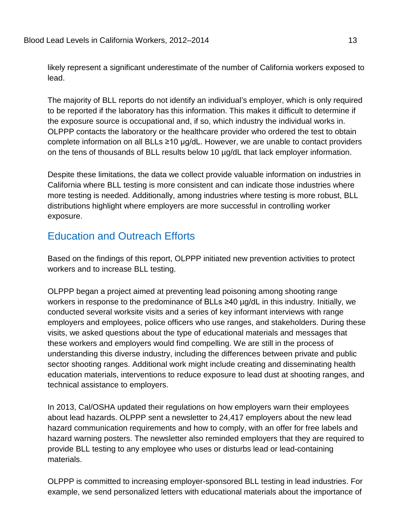likely represent a significant underestimate of the number of California workers exposed to lead.

 complete information on all BLLs ≥10 µg/dL. However, we are unable to contact providers on the tens of thousands of BLL results below 10 µg/dL that lack employer information. The majority of BLL reports do not identify an individual's employer, which is only required to be reported if the laboratory has this information. This makes it difficult to determine if the exposure source is occupational and, if so, which industry the individual works in. OLPPP contacts the laboratory or the healthcare provider who ordered the test to obtain

 more testing is needed. Additionally, among industries where testing is more robust, BLL distributions highlight where employers are more successful in controlling worker exposure. Despite these limitations, the data we collect provide valuable information on industries in California where BLL testing is more consistent and can indicate those industries where

### <span id="page-16-0"></span>**Education and Outreach Efforts**

 Based on the findings of this report, OLPPP initiated new prevention activities to protect workers and to increase BLL testing.

 employers and employees, police officers who use ranges, and stakeholders. During these visits, we asked questions about the type of educational materials and messages that these workers and employers would find compelling. We are still in the process of OLPPP began a project aimed at preventing lead poisoning among shooting range workers in response to the predominance of BLLs ≥40 µg/dL in this industry. Initially, we conducted several worksite visits and a series of key informant interviews with range understanding this diverse industry, including the differences between private and public sector shooting ranges. Additional work might include creating and disseminating health education materials, interventions to reduce exposure to lead dust at shooting ranges, and technical assistance to employers.

 about lead hazards. OLPPP sent a newsletter to 24,417 employers about the new lead hazard communication requirements and how to comply, with an offer for free labels and In 2013, Cal/OSHA updated their regulations on how employers warn their employees hazard warning posters. The newsletter also reminded employers that they are required to provide BLL testing to any employee who uses or disturbs lead or lead-containing materials.

 OLPPP is committed to increasing employer-sponsored BLL testing in lead industries. For example, we send personalized letters with educational materials about the importance of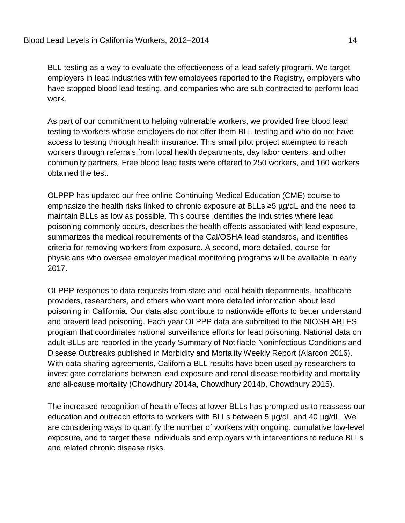BLL testing as a way to evaluate the effectiveness of a lead safety program. We target employers in lead industries with few employees reported to the Registry, employers who work. have stopped blood lead testing, and companies who are sub-contracted to perform lead

 obtained the test. As part of our commitment to helping vulnerable workers, we provided free blood lead testing to workers whose employers do not offer them BLL testing and who do not have access to testing through health insurance. This small pilot project attempted to reach workers through referrals from local health departments, day labor centers, and other community partners. Free blood lead tests were offered to 250 workers, and 160 workers

 maintain BLLs as low as possible. This course identifies the industries where lead summarizes the medical requirements of the Cal/OSHA lead standards, and identifies criteria for removing workers from exposure. A second, more detailed, course for 2017. OLPPP has updated our free online Continuing Medical Education (CME) course to emphasize the health risks linked to chronic exposure at BLLs ≥5 µg/dL and the need to poisoning commonly occurs, describes the health effects associated with lead exposure, physicians who oversee employer medical monitoring programs will be available in early

 poisoning in California. Our data also contribute to nationwide efforts to better understand and prevent lead poisoning. Each year OLPPP data are submitted to the NIOSH ABLES program that coordinates national surveillance efforts for lead poisoning. National data on Disease Outbreaks published in Morbidity and Mortality Weekly Report (Alarcon 2016). investigate correlations between lead exposure and renal disease morbidity and mortality 2017. OLPPP responds to data requests from state and local health departments, healthcare providers, researchers, and others who want more detailed information about lead adult BLLs are reported in the yearly Summary of Notifiable Noninfectious Conditions and With data sharing agreements, California BLL results have been used by researchers to and all-cause mortality (Chowdhury 2014a, Chowdhury 2014b, Chowdhury 2015).

 education and outreach efforts to workers with BLLs between 5 µg/dL and 40 µg/dL. We are considering ways to quantify the number of workers with ongoing, cumulative low-level The increased recognition of health effects at lower BLLs has prompted us to reassess our exposure, and to target these individuals and employers with interventions to reduce BLLs and related chronic disease risks.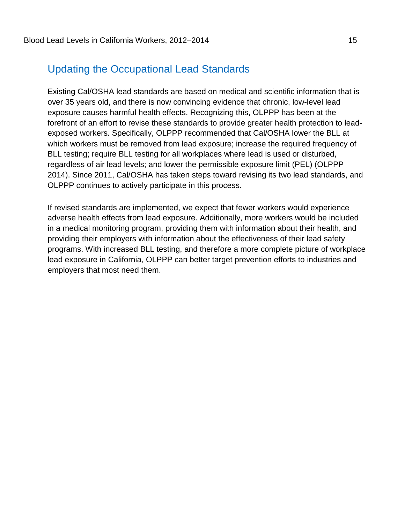# <span id="page-18-0"></span>**Updating the Occupational Lead Standards**

 over 35 years old, and there is now convincing evidence that chronic, low-level lead which workers must be removed from lead exposure; increase the required frequency of Existing Cal/OSHA lead standards are based on medical and scientific information that is exposure causes harmful health effects. Recognizing this, OLPPP has been at the forefront of an effort to revise these standards to provide greater health protection to leadexposed workers. Specifically, OLPPP recommended that Cal/OSHA lower the BLL at BLL testing; require BLL testing for all workplaces where lead is used or disturbed, regardless of air lead levels; and lower the permissible exposure limit (PEL) (OLPPP 2014). Since 2011, Cal/OSHA has taken steps toward revising its two lead standards, and OLPPP continues to actively participate in this process.

 If revised standards are implemented, we expect that fewer workers would experience in a medical monitoring program, providing them with information about their health, and employers that most need them. adverse health effects from lead exposure. Additionally, more workers would be included providing their employers with information about the effectiveness of their lead safety programs. With increased BLL testing, and therefore a more complete picture of workplace lead exposure in California, OLPPP can better target prevention efforts to industries and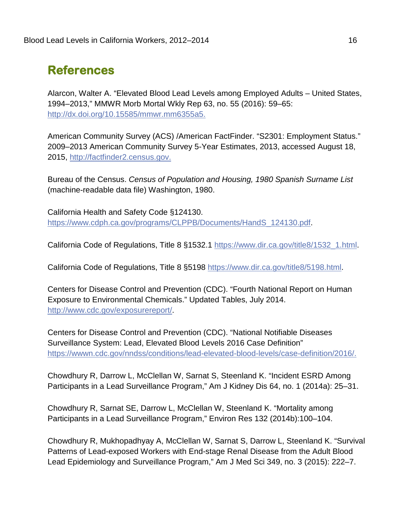# <span id="page-19-0"></span>**References**

 1994–2013," MMWR Morb Mortal Wkly Rep 63, no. 55 (2016): 59–65: Alarcon, Walter A. "Elevated Blood Lead Levels among Employed Adults – United States, [http://dx.doi.org/10.15585/mmwr.mm6355a5.](http://dx.doi.org/10.15585/mmwr.mm6355a5)

 American Community Survey (ACS) /American FactFinder. "S2301: Employment Status." 2009–2013 American Community Survey 5-Year Estimates, 2013, accessed August 18, 2015, http://factfinder2.census.gov.

Bureau of the Census. Census of Population and Housing, 1980 Spanish Surname List (machine-readable data file) Washington, 1980.

California Health and Safety Code §124130. [https://www.cdph.ca.gov/programs/CLPPB/Documents/HandS\\_124130.pdf.](https://www.cdph.ca.gov/programs/CLPPB/Documents/HandS_124130.pdf)

California Code of Regulations, Title 8 §1532.1 [https://www.dir.ca.gov/title8/1532\\_1.html.](https://www.dir.ca.gov/title8/1532_1.html)

California Code of Regulations, Title 8 §5198 [https://www.dir.ca.gov/title8/5198.html.](https://www.dir.ca.gov/title8/5198.html)

Centers for Disease Control and Prevention (CDC). "Fourth National Report on Human Exposure to Environmental Chemicals." Updated Tables, July 2014. [http://www.cdc.gov/exposurereport/.](http://www.cdc.gov/exposurereport/)

https://wwwn.cdc.gov/nndss/conditions/lead-elevated-blood-levels/case-definition/2016/. Centers for Disease Control and Prevention (CDC). "National Notifiable Diseases Surveillance System: Lead, Elevated Blood Levels 2016 Case Definition"

 Participants in a Lead Surveillance Program," Am J Kidney Dis 64, no. 1 (2014a): 25–31. Chowdhury R, Darrow L, McClellan W, Sarnat S, Steenland K. "Incident ESRD Among

Chowdhury R, Sarnat SE, Darrow L, McClellan W, Steenland K. "Mortality among Participants in a Lead Surveillance Program," Environ Res 132 (2014b):100–104.

 Lead Epidemiology and Surveillance Program," Am J Med Sci 349, no. 3 (2015): 222–7. Chowdhury R, Mukhopadhyay A, McClellan W, Sarnat S, Darrow L, Steenland K. "Survival Patterns of Lead-exposed Workers with End-stage Renal Disease from the Adult Blood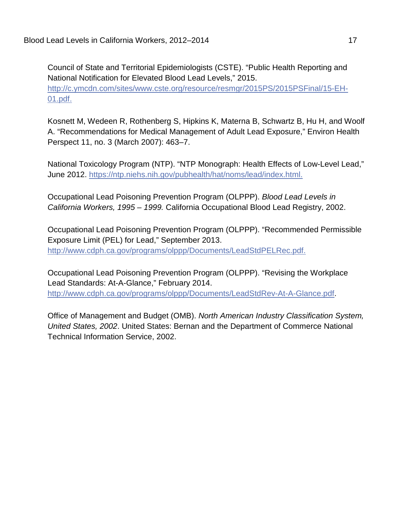01.pdf. Council of State and Territorial Epidemiologists (CSTE). "Public Health Reporting and National Notification for Elevated Blood Lead Levels," 2015. [http://c.ymcdn.com/sites/www.cste.org/resource/resmgr/2015PS/2015PSFinal/15-EH-](http://c.ymcdn.com/sites/www.cste.org/resource/resmgr/2015PS/2015PSFinal/15-EH-01.pdf)

 Perspect 11, no. 3 (March 2007): 463–7. Kosnett M, Wedeen R, Rothenberg S, Hipkins K, Materna B, Schwartz B, Hu H, and Woolf A. "Recommendations for Medical Management of Adult Lead Exposure," Environ Health

June 2012. https://ntp.niehs.nih.gov/pubhealth/hat/noms/lead/index.html. National Toxicology Program (NTP). "NTP Monograph: Health Effects of Low-Level Lead,"

Occupational Lead Poisoning Prevention Program (OLPPP). *Blood Lead Levels in California Workers, 1995 – 1999.* California Occupational Blood Lead Registry, 2002.

http://www.cdph.ca.gov/programs/olppp/Documents/LeadStdPELRec.pdf. Occupational Lead Poisoning Prevention Program (OLPPP). "Recommended Permissible Exposure Limit (PEL) for Lead," September 2013.

Occupational Lead Poisoning Prevention Program (OLPPP). "Revising the Workplace Lead Standards: At-A-Glance," February 2014. [http://www.cdph.ca.gov/programs/olppp/Documents/LeadStdRev-At-A-Glance.pdf.](http://www.cdph.ca.gov/programs/olppp/Documents/LeadStdRev-At-A-Glance.pdf)

Office of Management and Budget (OMB). *North American Industry Classification System, United States, 2002*. United States: Bernan and the Department of Commerce National Technical Information Service, 2002.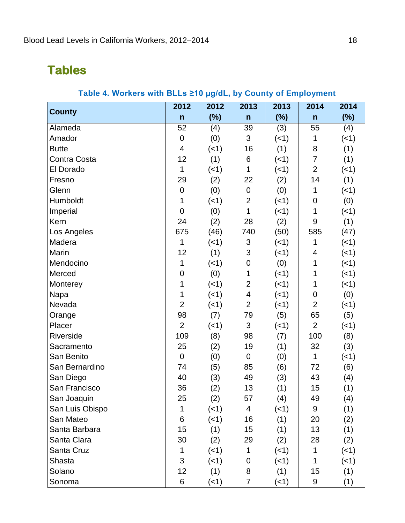# <span id="page-21-1"></span><span id="page-21-0"></span>**Tables**

|                 | 2012           | 2012        | 2013                     | 2013        | 2014           | 2014        |
|-----------------|----------------|-------------|--------------------------|-------------|----------------|-------------|
| <b>County</b>   | $\mathsf{n}$   | $(\%)$      | $\mathsf{n}$             | $(\%)$      | $\mathsf{n}$   | $(\%)$      |
| Alameda         | 52             | (4)         | 39                       | (3)         | 55             | (4)         |
| Amador          | $\mathbf 0$    | (0)         | 3                        | (<1)        | 1              | $($ < 1)    |
| <b>Butte</b>    | 4              | $(-1)$      | 16                       | (1)         | 8              | (1)         |
| Contra Costa    | 12             | (1)         | 6                        | $($ < 1)    | $\overline{7}$ | (1)         |
| El Dorado       | 1              | (<1)        | 1                        | (<1)        | $\overline{2}$ | (<1)        |
| Fresno          | 29             | (2)         | 22                       | (2)         | 14             | (1)         |
| Glenn           | $\mathbf 0$    | (0)         | $\overline{0}$           | (0)         | 1              | (<1)        |
| Humboldt        | 1              | (<1)        | $\overline{2}$           | $($ < 1)    | $\mathbf 0$    | (0)         |
| Imperial        | $\overline{0}$ | (0)         | 1                        | $($ < 1)    | $\mathbf{1}$   | $($ < 1 $)$ |
| Kern            | 24             | (2)         | 28                       | (2)         | 9              | (1)         |
| Los Angeles     | 675            | (46)        | 740                      | (50)        | 585            | (47)        |
| Madera          | 1              | (<1)        | 3                        | $($ < 1)    | 1              | $($ < 1)    |
| Marin           | 12             | (1)         | 3                        | (<1)        | 4              | $($ < 1 $)$ |
| Mendocino       | 1              | $(-1)$      | 0                        | (0)         | 1              | $($ < 1)    |
| Merced          | $\mathbf 0$    | (0)         | 1                        | (<1)        | 1              | $($ < 1)    |
| Monterey        | 1              | (<1)        | $\overline{2}$           | $($ < 1)    | 1              | $(-1)$      |
| Napa            | 1              | $(-1)$      | $\overline{\mathcal{A}}$ | (<1)        | 0              | (0)         |
| Nevada          | $\overline{2}$ | $(-1)$      | $\overline{2}$           | (<1)        | $\overline{2}$ | $($ < 1)    |
| Orange          | 98             | (7)         | 79                       | (5)         | 65             | (5)         |
| Placer          | $\overline{2}$ | (<1)        | 3                        | $($ < 1)    | $\overline{2}$ | $($ < 1 $)$ |
| Riverside       | 109            | (8)         | 98                       | (7)         | 100            | (8)         |
| Sacramento      | 25             | (2)         | 19                       | (1)         | 32             | (3)         |
| San Benito      | $\mathbf 0$    | (0)         | $\mathbf 0$              | (0)         | 1              | $($ < 1)    |
| San Bernardino  | 74             | (5)         | 85                       | (6)         | 72             | (6)         |
| San Diego       | 40             | (3)         | 49                       | (3)         | 43             | (4)         |
| San Francisco   | 36             | (2)         | 13                       | (1)         | 15             | (1)         |
| San Joaquin     | 25             | (2)         | 57                       | (4)         | 49             | (4)         |
| San Luis Obispo | 1              | $($ < 1)    | 4                        | $($ < 1 $)$ | 9              | (1)         |
| San Mateo       | 6              | $($ < 1 $)$ | 16                       | (1)         | 20             | (2)         |
| Santa Barbara   | 15             | (1)         | 15                       | (1)         | 13             | (1)         |
| Santa Clara     | 30             | (2)         | 29                       | (2)         | 28             | (2)         |
| Santa Cruz      | 1              | $(-1)$      | 1                        | $($ < 1)    | 1              | $($ < 1 $)$ |
| Shasta          | 3              | (<1)        | 0                        | $($ < 1 $)$ | $\mathbf{1}$   | $($ < 1 $)$ |
| Solano          | 12             | (1)         | 8                        | (1)         | 15             | (1)         |
| Sonoma          | 6              | (1)         | $\overline{7}$           | $($ < 1 $)$ | 9              | (1)         |

#### **Table 4. Workers with BLLs ≥10 µg/dL, by County of Employment**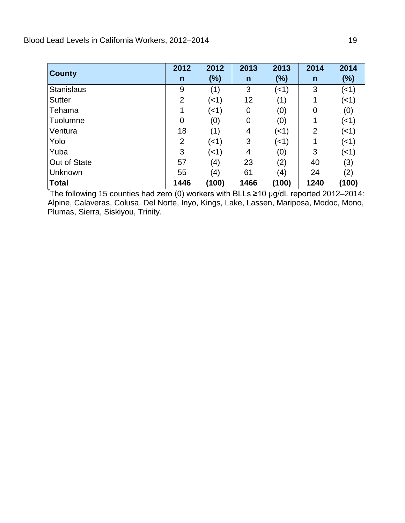| <b>County</b>     | 2012           | 2012        | 2013           | 2013   | 2014 | 2014  |
|-------------------|----------------|-------------|----------------|--------|------|-------|
|                   | $\mathsf{n}$   | (%)         | $\mathsf{n}$   | $(\%)$ | n    | (%)   |
| <b>Stanislaus</b> | 9              | (1)         | 3              | (<1)   | 3    | (<1)  |
| <b>Sutter</b>     | $\overline{2}$ | $($ < 1 $)$ | 12             | (1)    |      | (<1)  |
| Tehama            |                | $($ < 1 $)$ | $\overline{0}$ | (0)    | 0    | (0)   |
| Tuolumne          | $\overline{0}$ | (0)         | $\overline{0}$ | (0)    | 1    | (<1)  |
| Ventura           | 18             | (1)         | 4              | (<1)   | 2    | (<1)  |
| Yolo              | 2              | (<1)        | 3              | (<1)   | 1    | (<1)  |
| Yuba              | 3              | (<1)        | 4              | (0)    | 3    | (<1)  |
| Out of State      | 57             | (4)         | 23             | (2)    | 40   | (3)   |
| Unknown           | 55             | (4)         | 61             | (4)    | 24   | (2)   |
| <b>Total</b>      | 1446           | (100)       | 1466           | (100)  | 1240 | (100) |

I \* The following 15 counties had zero (0) workers with BLLs ≥10 µg/dL reported 2012–2014: Alpine, Calaveras, Colusa, Del Norte, Inyo, Kings, Lake, Lassen, Mariposa, Modoc, Mono, Plumas, Sierra, Siskiyou, Trinity.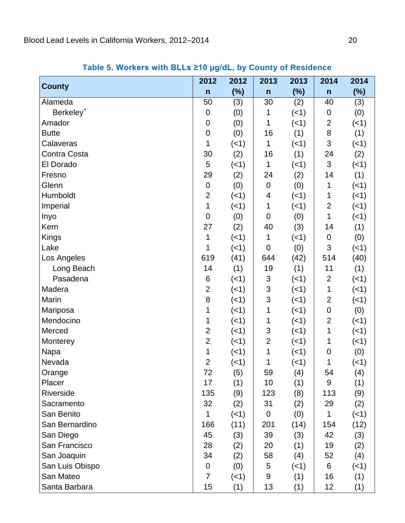<span id="page-23-0"></span>

|                       | 2012             | 2012        | 2013           | 2013        | 2014           | 2014        |
|-----------------------|------------------|-------------|----------------|-------------|----------------|-------------|
| <b>County</b>         | $\mathsf{n}$     | $(\%)$      | $\mathsf{n}$   | $(\%)$      | $\mathsf{n}$   | $(\%)$      |
| Alameda               | 50               | (3)         | 30             | (2)         | 40             | (3)         |
| Berkeley <sup>+</sup> | $\mathbf 0$      | (0)         | 1              | $(-1)$      | 0              | (0)         |
| Amador                | $\mathbf 0$      | (0)         | 1              | $(-1)$      | 2              | (1)         |
| <b>Butte</b>          | $\mathbf 0$      | (0)         | 16             | (1)         | 8              | (1)         |
| Calaveras             | 1                | $($ < 1 $)$ | 1              | $(-1)$      | 3              | (1)         |
| Contra Costa          | 30               | (2)         | 16             | (1)         | 24             | (2)         |
| El Dorado             | 5                | (<1)        | $\mathbf{1}$   | (<1)        | 3              | $($ < 1)    |
| Fresno                | 29               | (2)         | 24             | (2)         | 14             | (1)         |
| Glenn                 | $\boldsymbol{0}$ | (0)         | 0              | (0)         | 1              | $($ < 1 $)$ |
| Humboldt              | $\overline{2}$   | $($ < 1 $)$ | 4              | $($ < 1)    | 1              | $($ < 1 $)$ |
| Imperial              | $\mathbf{1}$     | (<1)        | 1              | $(-1)$      | 2              | $($ < 1 $)$ |
| Inyo                  | $\mathbf 0$      | (0)         | $\overline{0}$ | (0)         | 1              | $($ < 1 $)$ |
| Kern                  | 27               | (2)         | 40             | (3)         | 14             | (1)         |
| <b>Kings</b>          | 1                | (<1)        | 1              | (1)         | 0              | (0)         |
| Lake                  | 1                | (<1)        | $\mathbf 0$    | (0)         | 3              | $(-1)$      |
| Los Angeles           | 619              | (41)        | 644            | (42)        | 514            | (40)        |
| Long Beach            | 14               | (1)         | 19             | (1)         | 11             | (1)         |
| Pasadena              | 6                | (<1)        | 3              | (<1)        | $\overline{2}$ | $($ < 1 $)$ |
| Madera                | $\overline{2}$   | (<1)        | 3              | $(-1)$      | 1              | $($ < 1 $)$ |
| Marin                 | 8                | $($ < 1 $)$ | 3              | (1)         | 2              | $($ < 1 $)$ |
| Mariposa              | 1                | $($ < 1 $)$ | 1              | (1)         | 0              | (0)         |
| Mendocino             | 1                | (<1)        | 1              | (1)         | $\overline{2}$ | $($ < 1 $)$ |
| Merced                | $\overline{2}$   | (<1)        | 3              | $(-1)$      | 1              | (<1)        |
| Monterey              | $\overline{2}$   | (<1)        | $\overline{2}$ | (1)         | 1              | $($ < 1 $)$ |
| Napa                  | 1                | (<1)        | 1              | $($ < 1)    | $\mathbf 0$    | (0)         |
| Nevada                | $\mathbf{2}$     | (<1)        | 1              | $($ < 1 $)$ | 1              | $($ < 1 $)$ |
| Orange                | 72               | (5)         | 59             | (4)         | 54             | (4)         |
| Placer                | 17               | (1)         | 10             | (1)         | 9              | (1)         |
| Riverside             | 135              | (9)         | 123            | (8)         | 113            | (9)         |
| Sacramento            | 32               | (2)         | 31             | (2)         | 29             | (2)         |
| San Benito            | 1                | (<1)        | 0              | (0)         | 1              | $($ < 1 $)$ |
| San Bernardino        | 166              | (11)        | 201            | (14)        | 154            | (12)        |
| San Diego             | 45               | (3)         | 39             | (3)         | 42             | (3)         |
| San Francisco         | 28               | (2)         | 20             | (1)         | 19             | (2)         |
| San Joaquin           | 34               | (2)         | 58             | (4)         | 52             | (4)         |
| San Luis Obispo       | $\mathbf 0$      | (0)         | 5              | $($ < 1)    | 6              | $($ < 1 $)$ |
| San Mateo             | $\overline{7}$   | $($ < 1 $)$ | 9              | (1)         | 16             | (1)         |
| Santa Barbara         | 15               | (1)         | 13             | (1)         | 12             | (1)         |

 **Table 5. Workers with BLLs ≥10 µg/dL, by County of Residence**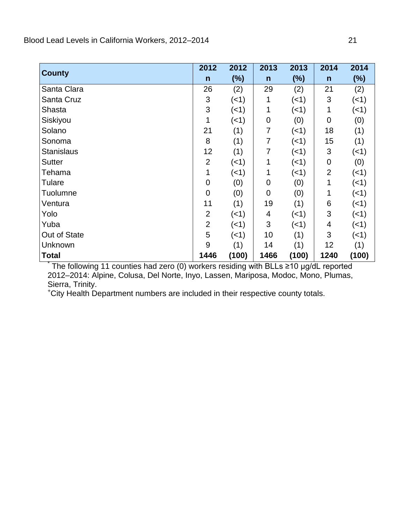|                   | 2012           | 2012        | 2013           | 2013        | 2014           | 2014        |
|-------------------|----------------|-------------|----------------|-------------|----------------|-------------|
| <b>County</b>     | $\mathsf{n}$   | (%)         | $\mathsf{n}$   | (%)         | $\mathsf{n}$   | (%)         |
| Santa Clara       | 26             | (2)         | 29             | (2)         | 21             | (2)         |
| Santa Cruz        | 3              | (<1)        | 1              | $($ < 1 $)$ | 3              | $($ < 1 $)$ |
| Shasta            | 3              | $($ < 1 $)$ |                | $($ < 1 $)$ | 1              | $($ < 1 $)$ |
| Siskiyou          |                | $($ < 1 $)$ | $\mathbf 0$    | (0)         | $\mathbf 0$    | (0)         |
| Solano            | 21             | (1)         | 7              | (1)         | 18             | (1)         |
| Sonoma            | 8              | (1)         | 7              | $($ < 1 $)$ | 15             | (1)         |
| <b>Stanislaus</b> | 12             | (1)         | 7              | $($ < 1 $)$ | 3              | $($ < 1 $)$ |
| <b>Sutter</b>     | $\overline{2}$ | (<1)        |                | $($ < 1 $)$ | $\mathbf 0$    | (0)         |
| Tehama            | 1              | (<1)        |                | $($ < 1 $)$ | $\overline{2}$ | $($ < 1 $)$ |
| Tulare            | 0              | (0)         | 0              | (0)         | 1              | $($ < 1 $)$ |
| <b>Tuolumne</b>   | 0              | (0)         | $\overline{0}$ | (0)         | 1              | (<1)        |
| Ventura           | 11             | (1)         | 19             | (1)         | 6              | $($ < 1 $)$ |
| Yolo              | $\overline{2}$ | (<1)        | 4              | (1)         | 3              | $($ < 1 $)$ |
| Yuba              | $\overline{2}$ | (<1)        | 3              | $($ < 1 $)$ | 4              | $($ < 1 $)$ |
| Out of State      | 5              | $($ < 1 $)$ | 10             | (1)         | 3              | $($ < 1 $)$ |
| Unknown           | 9              | (1)         | 14             | (1)         | 12             | (1)         |
| <b>Total</b>      | 1446           | (100)       | 1466           | (100)       | 1240           | (100)       |

 $*$  The following 11 counties had zero (0) workers residing with BLLs ≥10 µg/dL reported 2012–2014: Alpine, Colusa, Del Norte, Inyo, Lassen, Mariposa, Modoc, Mono, Plumas, Sierra, Trinity.

+ City Health Department numbers are included in their respective county totals.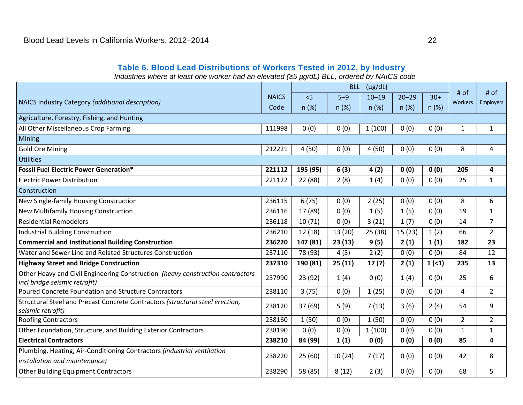#### **Table 6. Blood Lead Distributions of Workers Tested in 2012, by Industry**

*Industries where at least one worker had an elevated (*≥*5 µg/dL) BLL, ordered by NAICS code* 

<span id="page-25-0"></span>

|                                                                                                                 |              |          |        |           | <b>BLL</b><br>$(\mu g/dL)$ |       |                   |                     |
|-----------------------------------------------------------------------------------------------------------------|--------------|----------|--------|-----------|----------------------------|-------|-------------------|---------------------|
| NAICS Industry Category (additional description)                                                                | <b>NAICS</b> | 5        | $5-9$  | $10 - 19$ | $20 - 29$                  | $30+$ | $#$ of<br>Workers | $#$ of<br>Employers |
|                                                                                                                 | Code         | n(%)     | n(%)   | n(%)      | n(%)                       | n(%)  |                   |                     |
| Agriculture, Forestry, Fishing, and Hunting                                                                     |              |          |        |           |                            |       |                   |                     |
| All Other Miscellaneous Crop Farming                                                                            | 111998       | 0(0)     | 0(0)   | 1(100)    | 0(0)                       | 0(0)  | $\mathbf{1}$      | $\mathbf{1}$        |
| <b>Mining</b>                                                                                                   |              |          |        |           |                            |       |                   |                     |
| <b>Gold Ore Mining</b>                                                                                          | 212221       | 4(50)    | 0(0)   | 4(50)     | 0(0)                       | 0(0)  | 8                 | 4                   |
| <b>Utilities</b>                                                                                                |              |          |        |           |                            |       |                   |                     |
| <b>Fossil Fuel Electric Power Generation*</b>                                                                   | 221112       | 195 (95) | 6(3)   | 4(2)      | 0(0)                       | 0(0)  | 205               | 4                   |
| <b>Electric Power Distribution</b>                                                                              | 221122       | 22 (88)  | 2(8)   | 1(4)      | 0(0)                       | 0(0)  | 25                | $\mathbf{1}$        |
| Construction                                                                                                    |              |          |        |           |                            |       |                   |                     |
| New Single-family Housing Construction                                                                          | 236115       | 6(75)    | 0(0)   | 2(25)     | 0(0)                       | 0(0)  | 8                 | 6                   |
| <b>New Multifamily Housing Construction</b>                                                                     | 236116       | 17 (89)  | 0(0)   | 1(5)      | 1(5)                       | 0(0)  | 19                | 1                   |
| <b>Residential Remodelers</b>                                                                                   | 236118       | 10(71)   | 0(0)   | 3(21)     | 1(7)                       | 0(0)  | 14                | $\overline{7}$      |
| <b>Industrial Building Construction</b>                                                                         | 236210       | 12(18)   | 13(20) | 25(38)    | 15(23)                     | 1(2)  | 66                | $\overline{2}$      |
| <b>Commercial and Institutional Building Construction</b>                                                       | 236220       | 147 (81) | 23(13) | 9(5)      | 2(1)                       | 1(1)  | 182               | 23                  |
| Water and Sewer Line and Related Structures Construction                                                        | 237110       | 78 (93)  | 4(5)   | 2(2)      | 0(0)                       | 0(0)  | 84                | 12                  |
| <b>Highway Street and Bridge Construction</b>                                                                   | 237310       | 190 (81) | 25(11) | 17(7)     | 2(1)                       | 1(1)  | 235               | 13                  |
| Other Heavy and Civil Engineering Construction (heavy construction contractors<br>incl bridge seismic retrofit) | 237990       | 23 (92)  | 1(4)   | 0(0)      | 1(4)                       | 0(0)  | 25                | 6                   |
| Poured Concrete Foundation and Structure Contractors                                                            | 238110       | 3(75)    | 0(0)   | 1(25)     | 0(0)                       | 0(0)  | $\overline{4}$    | $\overline{2}$      |
| Structural Steel and Precast Concrete Contractors (structural steel erection,<br>seismic retrofit)              | 238120       | 37 (69)  | 5(9)   | 7(13)     | 3(6)                       | 2(4)  | 54                | 9                   |
| <b>Roofing Contractors</b>                                                                                      | 238160       | 1(50)    | 0(0)   | 1(50)     | 0(0)                       | 0(0)  | $\overline{2}$    | $\overline{2}$      |
| Other Foundation, Structure, and Building Exterior Contractors                                                  | 238190       | 0(0)     | 0(0)   | 1(100)    | 0(0)                       | 0(0)  | $\mathbf{1}$      | 1                   |
| <b>Electrical Contractors</b>                                                                                   | 238210       | 84 (99)  | 1(1)   | 0(0)      | 0(0)                       | 0(0)  | 85                | 4                   |
| Plumbing, Heating, Air-Conditioning Contractors (industrial ventilation                                         |              |          |        |           |                            |       |                   |                     |
| installation and maintenance)                                                                                   | 238220       | 25(60)   | 10(24) | 7(17)     | 0(0)                       | 0(0)  | 42                | 8                   |
| <b>Other Building Equipment Contractors</b>                                                                     | 238290       | 58 (85)  | 8(12)  | 2(3)      | 0(0)                       | 0(0)  | 68                | 5                   |
|                                                                                                                 |              |          |        |           |                            |       |                   |                     |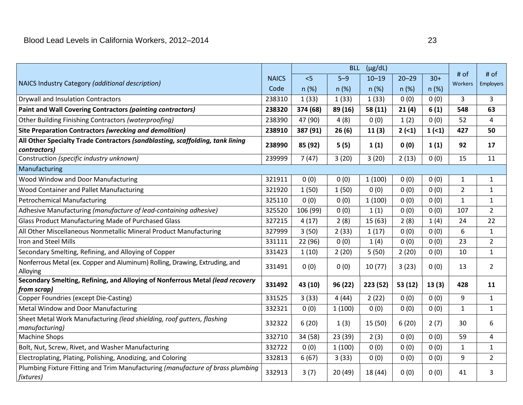|                                                                                               |              | $(\mu g/dL)$<br><b>BLL</b> |         |           |           |       |                 |                          |
|-----------------------------------------------------------------------------------------------|--------------|----------------------------|---------|-----------|-----------|-------|-----------------|--------------------------|
| NAICS Industry Category (additional description)                                              | <b>NAICS</b> | < 5                        | $5 - 9$ | $10 - 19$ | $20 - 29$ | $30+$ | # of<br>Workers | # of<br><b>Employers</b> |
|                                                                                               | Code         | n(%)                       | n(%)    | n(%)      | n(%)      | n(%)  |                 |                          |
| <b>Drywall and Insulation Contractors</b>                                                     | 238310       | 1(33)                      | 1(33)   | 1(33)     | 0(0)      | 0(0)  | 3               | 3                        |
| Paint and Wall Covering Contractors (painting contractors)                                    | 238320       | 374 (68)                   | 89 (16) | 58 (11)   | 21(4)     | 6(1)  | 548             | 63                       |
| Other Building Finishing Contractors (waterproofing)                                          | 238390       | 47 (90)                    | 4(8)    | 0(0)      | 1(2)      | 0(0)  | 52              | 4                        |
| Site Preparation Contractors (wrecking and demolition)                                        | 238910       | 387 (91)                   | 26(6)   | 11(3)     | $2(-1)$   | 1(1)  | 427             | 50                       |
| All Other Specialty Trade Contractors (sandblasting, scaffolding, tank lining<br>contractors) | 238990       | 85 (92)                    | 5(5)    | 1(1)      | 0(0)      | 1(1)  | 92              | 17                       |
| Construction (specific industry unknown)                                                      | 239999       | 7(47)                      | 3(20)   | 3(20)     | 2(13)     | 0(0)  | 15              | 11                       |
| Manufacturing                                                                                 |              |                            |         |           |           |       |                 |                          |
| Wood Window and Door Manufacturing                                                            | 321911       | 0(0)                       | 0(0)    | 1(100)    | 0(0)      | 0(0)  | $\mathbf{1}$    | 1                        |
| Wood Container and Pallet Manufacturing                                                       | 321920       | 1(50)                      | 1(50)   | 0(0)      | 0(0)      | 0(0)  | $\overline{2}$  | $\mathbf{1}$             |
| <b>Petrochemical Manufacturing</b>                                                            | 325110       | 0(0)                       | 0(0)    | 1(100)    | 0(0)      | 0(0)  | $\mathbf{1}$    | $\mathbf{1}$             |
| Adhesive Manufacturing (manufacture of lead-containing adhesive)                              | 325520       | 106 (99)                   | 0(0)    | 1(1)      | 0(0)      | 0(0)  | 107             | $\overline{2}$           |
| Glass Product Manufacturing Made of Purchased Glass                                           | 327215       | 4(17)                      | 2(8)    | 15(63)    | 2(8)      | 1(4)  | 24              | 22                       |
| All Other Miscellaneous Nonmetallic Mineral Product Manufacturing                             | 327999       | 3(50)                      | 2(33)   | 1(17)     | 0(0)      | 0(0)  | 6               | $\mathbf{1}$             |
| Iron and Steel Mills                                                                          | 331111       | 22 (96)                    | 0(0)    | 1(4)      | 0(0)      | 0(0)  | 23              | $\overline{2}$           |
| Secondary Smelting, Refining, and Alloying of Copper                                          | 331423       | 1(10)                      | 2(20)   | 5(50)     | 2(20)     | 0(0)  | 10              | $\mathbf{1}$             |
| Nonferrous Metal (ex. Copper and Aluminum) Rolling, Drawing, Extruding, and<br>Alloying       | 331491       | 0(0)                       | 0(0)    | 10(77)    | 3(23)     | 0(0)  | 13              | $\overline{2}$           |
| Secondary Smelting, Refining, and Alloying of Nonferrous Metal (lead recovery<br>from scrap)  | 331492       | 43 (10)                    | 96 (22) | 223 (52)  | 53(12)    | 13(3) | 428             | 11                       |
| <b>Copper Foundries (except Die-Casting)</b>                                                  | 331525       | 3(33)                      | 4(44)   | 2(22)     | 0(0)      | 0(0)  | 9               | $\mathbf{1}$             |
| Metal Window and Door Manufacturing                                                           | 332321       | 0(0)                       | 1(100)  | 0(0)      | 0(0)      | 0(0)  | $\mathbf{1}$    | $\mathbf{1}$             |
| Sheet Metal Work Manufacturing (lead shielding, roof gutters, flashing<br>manufacturing)      | 332322       | 6(20)                      | 1(3)    | 15(50)    | 6(20)     | 2(7)  | 30              | 6                        |
| <b>Machine Shops</b>                                                                          | 332710       | 34 (58)                    | 23 (39) | 2(3)      | 0(0)      | 0(0)  | 59              | 4                        |
| Bolt, Nut, Screw, Rivet, and Washer Manufacturing                                             | 332722       | 0(0)                       | 1(100)  | 0(0)      | 0(0)      | 0(0)  | $\mathbf{1}$    | $\mathbf{1}$             |
| Electroplating, Plating, Polishing, Anodizing, and Coloring                                   | 332813       | 6(67)                      | 3(33)   | 0(0)      | 0(0)      | 0(0)  | 9               | $\overline{2}$           |
| Plumbing Fixture Fitting and Trim Manufacturing (manufacture of brass plumbing<br>fixtures)   | 332913       | 3(7)                       | 20(49)  | 18 (44)   | 0(0)      | 0(0)  | 41              | 3                        |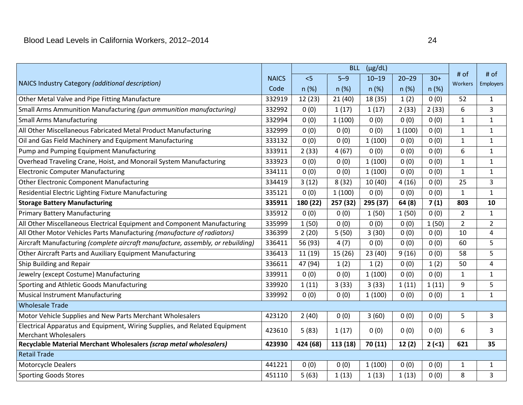| NAICS Industry Category (additional description)                                | <b>NAICS</b> | < 5      | $5 - 9$  | $10 - 19$ | $20 - 29$ | $30+$ | # of<br><b>Workers</b> | # of<br>Employers |
|---------------------------------------------------------------------------------|--------------|----------|----------|-----------|-----------|-------|------------------------|-------------------|
|                                                                                 | Code         | n(%)     | n(%)     | n (%)     | n (%)     | n(%)  |                        |                   |
| Other Metal Valve and Pipe Fitting Manufacture                                  | 332919       | 12(23)   | 21(40)   | 18 (35)   | 1(2)      | 0(0)  | 52                     | $\mathbf{1}$      |
| Small Arms Ammunition Manufacturing (gun ammunition manufacturing)              | 332992       | 0(0)     | 1(17)    | 1(17)     | 2(33)     | 2(33) | 6                      | $\overline{3}$    |
| <b>Small Arms Manufacturing</b>                                                 | 332994       | 0(0)     | 1(100)   | 0(0)      | 0(0)      | 0(0)  | $\mathbf{1}$           | $\mathbf{1}$      |
| All Other Miscellaneous Fabricated Metal Product Manufacturing                  | 332999       | 0(0)     | 0(0)     | 0(0)      | 1(100)    | 0(0)  | $\mathbf{1}$           | $\mathbf{1}$      |
| Oil and Gas Field Machinery and Equipment Manufacturing                         | 333132       | 0(0)     | 0(0)     | 1(100)    | 0(0)      | 0(0)  | $\mathbf{1}$           | $\mathbf{1}$      |
| Pump and Pumping Equipment Manufacturing                                        | 333911       | 2(33)    | 4(67)    | 0(0)      | 0(0)      | 0(0)  | 6                      | $\mathbf{1}$      |
| Overhead Traveling Crane, Hoist, and Monorail System Manufacturing              | 333923       | 0(0)     | 0(0)     | 1(100)    | 0(0)      | 0(0)  | $\mathbf{1}$           | $\mathbf{1}$      |
| <b>Electronic Computer Manufacturing</b>                                        | 334111       | 0(0)     | 0(0)     | 1(100)    | 0(0)      | 0(0)  | $\mathbf{1}$           | $\mathbf{1}$      |
| <b>Other Electronic Component Manufacturing</b>                                 | 334419       | 3(12)    | 8(32)    | 10(40)    | 4(16)     | 0(0)  | 25                     | 3                 |
| Residential Electric Lighting Fixture Manufacturing                             | 335121       | 0(0)     | 1(100)   | 0(0)      | 0(0)      | 0(0)  | $\mathbf{1}$           | $\mathbf{1}$      |
| <b>Storage Battery Manufacturing</b>                                            | 335911       | 180 (22) | 257 (32) | 295 (37)  | 64(8)     | 7(1)  | 803                    | 10                |
| <b>Primary Battery Manufacturing</b>                                            | 335912       | 0(0)     | 0(0)     | 1(50)     | 1(50)     | 0(0)  | $\overline{2}$         | $\mathbf{1}$      |
| All Other Miscellaneous Electrical Equipment and Component Manufacturing        | 335999       | 1(50)    | 0(0)     | 0(0)      | 0(0)      | 1(50) | $\overline{2}$         | $\overline{2}$    |
| All Other Motor Vehicles Parts Manufacturing (manufacture of radiators)         | 336399       | 2(20)    | 5(50)    | 3(30)     | 0(0)      | 0(0)  | 10                     | $\overline{4}$    |
| Aircraft Manufacturing (complete aircraft manufacture, assembly, or rebuilding) | 336411       | 56 (93)  | 4(7)     | 0(0)      | 0(0)      | 0(0)  | 60                     | 5                 |
| Other Aircraft Parts and Auxiliary Equipment Manufacturing                      | 336413       | 11(19)   | 15(26)   | 23(40)    | 9(16)     | 0(0)  | 58                     | 5                 |
| Ship Building and Repair                                                        | 336611       | 47 (94)  | 1(2)     | 1(2)      | 0(0)      | 1(2)  | 50                     | 4                 |
| Jewelry (except Costume) Manufacturing                                          | 339911       | 0(0)     | 0(0)     | 1(100)    | 0(0)      | 0(0)  | $\mathbf{1}$           | $\mathbf{1}$      |
| Sporting and Athletic Goods Manufacturing                                       | 339920       | 1(11)    | 3(33)    | 3(33)     | 1(11)     | 1(11) | 9                      | 5                 |
| <b>Musical Instrument Manufacturing</b>                                         | 339992       | 0(0)     | 0(0)     | 1(100)    | 0(0)      | 0(0)  | $\mathbf{1}$           | $\mathbf{1}$      |
| <b>Wholesale Trade</b>                                                          |              |          |          |           |           |       |                        |                   |
| Motor Vehicle Supplies and New Parts Merchant Wholesalers                       | 423120       | 2(40)    | 0(0)     | 3(60)     | 0(0)      | 0(0)  | 5                      | 3                 |
| Electrical Apparatus and Equipment, Wiring Supplies, and Related Equipment      | 423610       | 5(83)    | 1(17)    | 0(0)      | 0(0)      | 0(0)  | 6                      | $\overline{3}$    |
| <b>Merchant Wholesalers</b>                                                     |              |          |          |           |           |       |                        |                   |
| Recyclable Material Merchant Wholesalers (scrap metal wholesalers)              | 423930       | 424 (68) | 113 (18) | 70 (11)   | 12(2)     | 2(<1) | 621                    | 35                |
| <b>Retail Trade</b>                                                             |              |          |          |           |           |       |                        |                   |
| <b>Motorcycle Dealers</b>                                                       | 441221       | 0(0)     | 0(0)     | 1(100)    | 0(0)      | 0(0)  | $\mathbf{1}$           | $\mathbf{1}$      |
| <b>Sporting Goods Stores</b>                                                    | 451110       | 5(63)    | 1(13)    | 1(13)     | 1(13)     | 0(0)  | 8                      | $\overline{3}$    |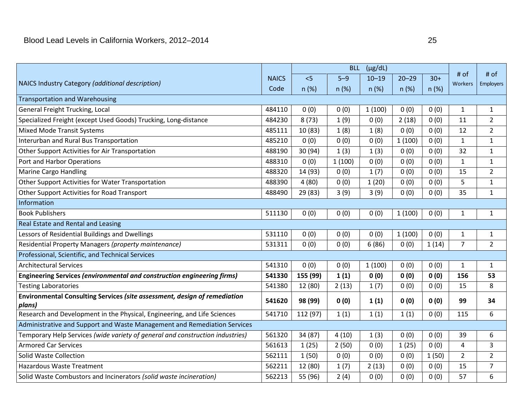|                                                                                     |              |          | <b>BLL</b> | $(\mu g/dL)$ |           |       |                 |                  |
|-------------------------------------------------------------------------------------|--------------|----------|------------|--------------|-----------|-------|-----------------|------------------|
|                                                                                     | <b>NAICS</b> | < 5      | $5 - 9$    | $10 - 19$    | $20 - 29$ | $30+$ | # of<br>Workers | # of             |
| NAICS Industry Category (additional description)                                    | Code         | n (%)    | n(%)       | n (%)        | n(%)      | n(%)  |                 | <b>Employers</b> |
| <b>Transportation and Warehousing</b>                                               |              |          |            |              |           |       |                 |                  |
| General Freight Trucking, Local                                                     | 484110       | 0(0)     | 0(0)       | 1(100)       | 0(0)      | 0(0)  | $\mathbf{1}$    | $\mathbf{1}$     |
| Specialized Freight (except Used Goods) Trucking, Long-distance                     | 484230       | 8(73)    | 1(9)       | 0(0)         | 2(18)     | 0(0)  | 11              | $\overline{2}$   |
| <b>Mixed Mode Transit Systems</b>                                                   | 485111       | 10 (83)  | 1(8)       | 1(8)         | 0(0)      | 0(0)  | 12              | $\overline{2}$   |
| Interurban and Rural Bus Transportation                                             | 485210       | 0(0)     | 0(0)       | 0(0)         | 1(100)    | 0(0)  | $\mathbf{1}$    | $\mathbf{1}$     |
| Other Support Activities for Air Transportation                                     | 488190       | 30 (94)  | 1(3)       | 1(3)         | 0(0)      | 0(0)  | 32              | $\mathbf{1}$     |
| Port and Harbor Operations                                                          | 488310       | 0(0)     | 1(100)     | 0(0)         | 0(0)      | 0(0)  | $\mathbf{1}$    | $\mathbf{1}$     |
| Marine Cargo Handling                                                               | 488320       | 14 (93)  | 0(0)       | 1(7)         | 0(0)      | 0(0)  | 15              | $\overline{2}$   |
| Other Support Activities for Water Transportation                                   | 488390       | 4(80)    | 0(0)       | 1(20)        | 0(0)      | 0(0)  | 5               | $\mathbf{1}$     |
| Other Support Activities for Road Transport                                         | 488490       | 29 (83)  | 3(9)       | 3(9)         | 0(0)      | 0(0)  | 35              | $\mathbf{1}$     |
| Information                                                                         |              |          |            |              |           |       |                 |                  |
| <b>Book Publishers</b>                                                              | 511130       | 0(0)     | 0(0)       | 0(0)         | 1(100)    | 0(0)  | $\mathbf{1}$    | $\mathbf{1}$     |
| Real Estate and Rental and Leasing                                                  |              |          |            |              |           |       |                 |                  |
| Lessors of Residential Buildings and Dwellings                                      | 531110       | 0(0)     | 0(0)       | 0(0)         | 1(100)    | 0(0)  | $\mathbf{1}$    | $\mathbf{1}$     |
| Residential Property Managers (property maintenance)                                | 531311       | 0(0)     | 0(0)       | 6(86)        | 0(0)      | 1(14) | $\overline{7}$  | $\overline{2}$   |
| Professional, Scientific, and Technical Services                                    |              |          |            |              |           |       |                 |                  |
| <b>Architectural Services</b>                                                       | 541310       | 0(0)     | 0(0)       | 1(100)       | 0(0)      | 0(0)  | $\mathbf{1}$    | $\mathbf{1}$     |
| <b>Engineering Services (environmental and construction engineering firms)</b>      | 541330       | 155 (99) | 1(1)       | 0(0)         | 0(0)      | 0(0)  | 156             | 53               |
| <b>Testing Laboratories</b>                                                         | 541380       | 12 (80)  | 2(13)      | 1(7)         | 0(0)      | 0(0)  | 15              | 8                |
| Environmental Consulting Services (site assessment, design of remediation<br>plans) | 541620       | 98 (99)  | 0(0)       | 1(1)         | 0(0)      | 0(0)  | 99              | 34               |
| Research and Development in the Physical, Engineering, and Life Sciences            | 541710       | 112 (97) | 1(1)       | 1(1)         | 1(1)      | 0(0)  | 115             | 6                |
| Administrative and Support and Waste Management and Remediation Services            |              |          |            |              |           |       |                 |                  |
| Temporary Help Services (wide variety of general and construction industries)       | 561320       | 34 (87)  | 4(10)      | 1(3)         | 0(0)      | 0(0)  | 39              | 6                |
| <b>Armored Car Services</b>                                                         | 561613       | 1(25)    | 2(50)      | 0(0)         | 1(25)     | 0(0)  | 4               | 3                |
| Solid Waste Collection                                                              | 562111       | 1(50)    | 0(0)       | 0(0)         | 0(0)      | 1(50) | $\overline{2}$  | $\overline{2}$   |
| <b>Hazardous Waste Treatment</b>                                                    | 562211       | 12 (80)  | 1(7)       | 2(13)        | 0(0)      | 0(0)  | 15              | $\overline{7}$   |
| Solid Waste Combustors and Incinerators (solid waste incineration)                  | 562213       | 55 (96)  | 2(4)       | 0(0)         | 0(0)      | 0(0)  | 57              | 6                |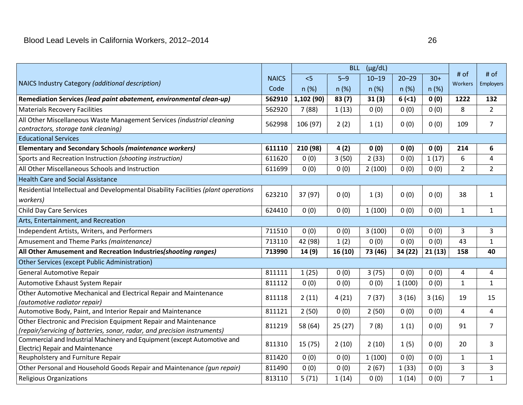| NAICS Industry Category (additional description)                                                                                            | <b>NAICS</b> | < 5       | $5 - 9$ | $10 - 19$ | $20 - 29$ | $30+$  | # of<br>Workers         | # of<br>Employers |
|---------------------------------------------------------------------------------------------------------------------------------------------|--------------|-----------|---------|-----------|-----------|--------|-------------------------|-------------------|
|                                                                                                                                             | Code         | n(%)      | n(%)    | n(%)      | n(%)      | n(%)   |                         |                   |
| Remediation Services (lead paint abatement, environmental clean-up)                                                                         | 562910       | 1,102(90) | 83(7)   | 31(3)     | 6(2)      | 0(0)   | 1222                    | 132               |
| <b>Materials Recovery Facilities</b>                                                                                                        | 562920       | 7(88)     | 1(13)   | 0(0)      | 0(0)      | 0(0)   | 8                       | $\overline{2}$    |
| All Other Miscellaneous Waste Management Services (industrial cleaning<br>contractors, storage tank cleaning)                               | 562998       | 106 (97)  | 2(2)    | 1(1)      | 0(0)      | 0(0)   | 109                     | $\overline{7}$    |
| <b>Educational Services</b>                                                                                                                 |              |           |         |           |           |        |                         |                   |
| <b>Elementary and Secondary Schools (maintenance workers)</b>                                                                               | 611110       | 210 (98)  | 4(2)    | 0(0)      | 0(0)      | 0(0)   | 214                     | 6                 |
| Sports and Recreation Instruction (shooting instruction)                                                                                    | 611620       | 0(0)      | 3(50)   | 2(33)     | 0(0)      | 1(17)  | 6                       | 4                 |
| All Other Miscellaneous Schools and Instruction                                                                                             | 611699       | 0(0)      | 0(0)    | 2(100)    | 0(0)      | 0(0)   | $\overline{2}$          | $\overline{2}$    |
| <b>Health Care and Social Assistance</b>                                                                                                    |              |           |         |           |           |        |                         |                   |
| Residential Intellectual and Developmental Disability Facilities (plant operations<br>workers)                                              | 623210       | 37 (97)   | 0(0)    | 1(3)      | 0(0)      | 0(0)   | 38                      | $\mathbf{1}$      |
| <b>Child Day Care Services</b>                                                                                                              | 624410       | 0(0)      | 0(0)    | 1(100)    | 0(0)      | 0(0)   | $\mathbf{1}$            | $\mathbf{1}$      |
| Arts, Entertainment, and Recreation                                                                                                         |              |           |         |           |           |        |                         |                   |
| Independent Artists, Writers, and Performers                                                                                                | 711510       | 0(0)      | 0(0)    | 3(100)    | 0(0)      | 0(0)   | 3                       | 3                 |
| Amusement and Theme Parks (maintenance)                                                                                                     | 713110       | 42 (98)   | 1(2)    | 0(0)      | 0(0)      | 0(0)   | 43                      | $\mathbf{1}$      |
| All Other Amusement and Recreation Industries (shooting ranges)                                                                             | 713990       | 14(9)     | 16(10)  | 73 (46)   | 34 (22)   | 21(13) | 158                     | 40                |
| <b>Other Services (except Public Administration)</b>                                                                                        |              |           |         |           |           |        |                         |                   |
| <b>General Automotive Repair</b>                                                                                                            | 811111       | 1(25)     | 0(0)    | 3(75)     | 0(0)      | 0(0)   | $\overline{\mathbf{4}}$ | $\overline{4}$    |
| Automotive Exhaust System Repair                                                                                                            | 811112       | 0(0)      | 0(0)    | 0(0)      | 1(100)    | 0(0)   | $\mathbf{1}$            | $\mathbf{1}$      |
| Other Automotive Mechanical and Electrical Repair and Maintenance<br>(automotive radiator repair)                                           | 811118       | 2(11)     | 4(21)   | 7(37)     | 3(16)     | 3(16)  | 19                      | 15                |
| Automotive Body, Paint, and Interior Repair and Maintenance                                                                                 | 811121       | 2(50)     | 0(0)    | 2(50)     | 0(0)      | 0(0)   | 4                       | 4                 |
| Other Electronic and Precision Equipment Repair and Maintenance<br>(repair/servicing of batteries, sonar, radar, and precision instruments) | 811219       | 58 (64)   | 25(27)  | 7(8)      | 1(1)      | 0(0)   | 91                      | 7                 |
| Commercial and Industrial Machinery and Equipment (except Automotive and<br>Electric) Repair and Maintenance                                | 811310       | 15(75)    | 2(10)   | 2(10)     | 1(5)      | 0(0)   | 20                      | 3                 |
| Reupholstery and Furniture Repair                                                                                                           | 811420       | 0(0)      | 0(0)    | 1(100)    | 0(0)      | 0(0)   | $\mathbf{1}$            | $\mathbf{1}$      |
| Other Personal and Household Goods Repair and Maintenance (gun repair)                                                                      | 811490       | 0(0)      | 0(0)    | 2(67)     | 1(33)     | 0(0)   | 3                       | $\overline{3}$    |
| <b>Religious Organizations</b>                                                                                                              | 813110       | 5(71)     | 1(14)   | 0(0)      | 1(14)     | 0(0)   | $\overline{7}$          | $\mathbf{1}$      |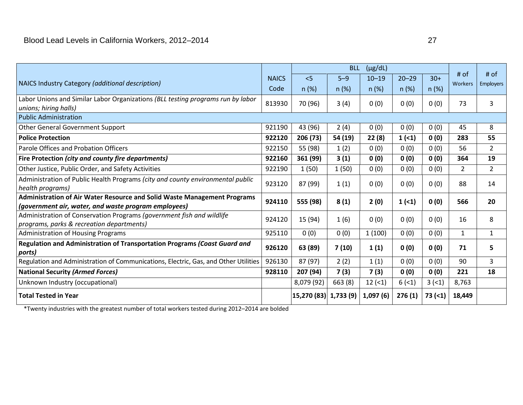|                                                                                     |              |                        |         | BLL (µg/dL) |           |         |                 | # of             |
|-------------------------------------------------------------------------------------|--------------|------------------------|---------|-------------|-----------|---------|-----------------|------------------|
| NAICS Industry Category (additional description)                                    | <b>NAICS</b> | < 5                    | $5 - 9$ | $10 - 19$   | $20 - 29$ | $30+$   | # of<br>Workers | <b>Employers</b> |
|                                                                                     | Code         | n(%)                   | n(%)    | n(%)        | n(%)      | $n$ (%) |                 |                  |
| Labor Unions and Similar Labor Organizations (BLL testing programs run by labor     | 813930       | 70 (96)                | 3(4)    | 0(0)        | 0(0)      | 0(0)    | 73              | 3                |
| unions; hiring halls)                                                               |              |                        |         |             |           |         |                 |                  |
| <b>Public Administration</b>                                                        |              |                        |         |             |           |         |                 |                  |
| <b>Other General Government Support</b>                                             | 921190       | 43 (96)                | 2(4)    | 0(0)        | 0(0)      | 0(0)    | 45              | 8                |
| <b>Police Protection</b>                                                            | 922120       | 206 (73)               | 54 (19) | 22(8)       | 1(1)      | 0(0)    | 283             | 55               |
| Parole Offices and Probation Officers                                               | 922150       | 55 (98)                | 1(2)    | 0(0)        | 0(0)      | 0(0)    | 56              | $\overline{2}$   |
| Fire Protection (city and county fire departments)                                  | 922160       | 361 (99)               | 3(1)    | 0(0)        | 0(0)      | 0(0)    | 364             | 19               |
| Other Justice, Public Order, and Safety Activities                                  | 922190       | 1(50)                  | 1(50)   | 0(0)        | 0(0)      | 0(0)    | $\overline{2}$  | $\overline{2}$   |
| Administration of Public Health Programs (city and county environmental public      | 923120       | 87 (99)                | 1(1)    | 0(0)        | 0(0)      | 0(0)    | 88              | 14               |
| health programs)                                                                    |              |                        |         |             |           |         |                 |                  |
| Administration of Air Water Resource and Solid Waste Management Programs            | 924110       | 555 (98)               | 8(1)    | 2(0)        | 1(1)      | 0(0)    | 566             | 20               |
| (government air, water, and waste program employees)                                |              |                        |         |             |           |         |                 |                  |
| Administration of Conservation Programs (government fish and wildlife               | 924120       | 15 (94)                | 1(6)    | 0(0)        | 0(0)      | 0(0)    | 16              | 8                |
| programs, parks & recreation departments)                                           |              |                        |         |             |           |         |                 |                  |
| <b>Administration of Housing Programs</b>                                           | 925110       | 0(0)                   | 0(0)    | 1(100)      | 0(0)      | 0(0)    | $\mathbf{1}$    | $\mathbf{1}$     |
| Regulation and Administration of Transportation Programs (Coast Guard and<br>ports) | 926120       | 63 (89)                | 7(10)   | 1(1)        | 0(0)      | 0(0)    | 71              | 5                |
| Regulation and Administration of Communications, Electric, Gas, and Other Utilities | 926130       | 87 (97)                | 2(2)    | 1(1)        | 0(0)      | 0(0)    | 90              | 3                |
| <b>National Security (Armed Forces)</b>                                             | 928110       | 207 (94)               | 7(3)    | 7(3)        | 0(0)      | 0(0)    | 221             | 18               |
| Unknown Industry (occupational)                                                     |              | 8,079 (92)             | 663 (8) | 12(1)       | 6(1)      | 3(1)    | 8,763           |                  |
| <b>Total Tested in Year</b>                                                         |              | 15,270 (83)  1,733 (9) |         | 1,097(6)    | 276(1)    | 73(1)   | 18,449          |                  |

\*Twenty industries with the greatest number of total workers tested during 2012–2014 are bolded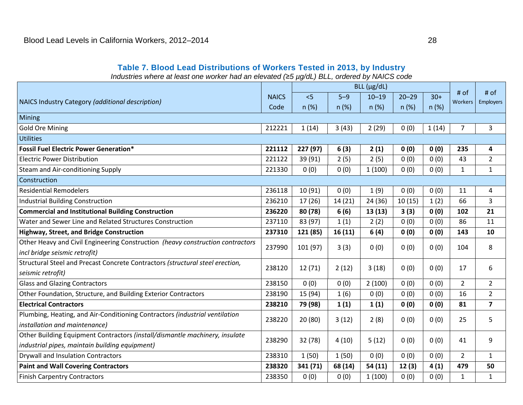#### **Table 7. Blood Lead Distributions of Workers Tested in 2013, by Industry**

*Industries where at least one worker had an elevated (*≥*5 µg/dL) BLL, ordered by NAICS code* 

<span id="page-31-0"></span>

| $BLL$ ( $\mu$ g/dL)                                                            |              |          |         |           |           |       | # of            |                  |  |
|--------------------------------------------------------------------------------|--------------|----------|---------|-----------|-----------|-------|-----------------|------------------|--|
| NAICS Industry Category (additional description)                               | <b>NAICS</b> | < 5      | $5 - 9$ | $10 - 19$ | $20 - 29$ | $30+$ | # of<br>Workers | <b>Employers</b> |  |
|                                                                                | Code         | n (%)    | n(%)    | n (%)     | n(%)      | n(%)  |                 |                  |  |
| Mining                                                                         |              |          |         |           |           |       |                 |                  |  |
| <b>Gold Ore Mining</b>                                                         | 212221       | 1(14)    | 3(43)   | 2(29)     | 0(0)      | 1(14) | $\overline{7}$  | 3                |  |
| <b>Utilities</b>                                                               |              |          |         |           |           |       |                 |                  |  |
| <b>Fossil Fuel Electric Power Generation*</b>                                  | 221112       | 227 (97) | 6(3)    | 2(1)      | 0(0)      | 0(0)  | 235             | 4                |  |
| <b>Electric Power Distribution</b>                                             | 221122       | 39 (91)  | 2(5)    | 2(5)      | 0(0)      | 0(0)  | 43              | $\overline{2}$   |  |
| Steam and Air-conditioning Supply                                              | 221330       | 0(0)     | 0(0)    | 1(100)    | 0(0)      | 0(0)  | $1\,$           | $\mathbf{1}$     |  |
| Construction                                                                   |              |          |         |           |           |       |                 |                  |  |
| <b>Residential Remodelers</b>                                                  | 236118       | 10(91)   | 0(0)    | 1(9)      | 0(0)      | 0(0)  | 11              | 4                |  |
| <b>Industrial Building Construction</b>                                        | 236210       | 17(26)   | 14(21)  | 24 (36)   | 10(15)    | 1(2)  | 66              | 3                |  |
| <b>Commercial and Institutional Building Construction</b>                      | 236220       | 80 (78)  | 6(6)    | 13(13)    | 3(3)      | 0(0)  | 102             | 21               |  |
| Water and Sewer Line and Related Structures Construction                       | 237110       | 83 (97)  | 1(1)    | 2(2)      | 0(0)      | 0(0)  | 86              | 11               |  |
| <b>Highway, Street, and Bridge Construction</b>                                | 237310       | 121 (85) | 16(11)  | 6(4)      | 0(0)      | 0(0)  | 143             | 10               |  |
| Other Heavy and Civil Engineering Construction (heavy construction contractors | 237990       | 101 (97) | 3(3)    | 0(0)      | 0(0)      | 0(0)  | 104             | 8                |  |
| incl bridge seismic retrofit)                                                  |              |          |         |           |           |       |                 |                  |  |
| Structural Steel and Precast Concrete Contractors (structural steel erection,  | 238120       | 12(71)   | 2(12)   | 3(18)     | 0(0)      | 0(0)  | 17              | 6                |  |
| seismic retrofit)                                                              |              |          |         |           |           |       |                 |                  |  |
| <b>Glass and Glazing Contractors</b>                                           | 238150       | 0(0)     | 0(0)    | 2(100)    | 0(0)      | 0(0)  | $\overline{2}$  | $\overline{2}$   |  |
| Other Foundation, Structure, and Building Exterior Contractors                 | 238190       | 15 (94)  | 1(6)    | 0(0)      | 0(0)      | 0(0)  | 16              | $\overline{2}$   |  |
| <b>Electrical Contractors</b>                                                  | 238210       | 79 (98)  | 1(1)    | 1(1)      | 0(0)      | 0(0)  | 81              | $\overline{7}$   |  |
| Plumbing, Heating, and Air-Conditioning Contractors (industrial ventilation    | 238220       | 20(80)   | 3(12)   | 2(8)      | 0(0)      | 0(0)  | 25              | 5                |  |
| installation and maintenance)                                                  |              |          |         |           |           |       |                 |                  |  |
| Other Building Equipment Contractors (install/dismantle machinery, insulate    | 238290       | 32 (78)  | 4(10)   | 5(12)     | 0(0)      | 0(0)  | 41              | 9                |  |
| industrial pipes, maintain building equipment)                                 |              |          |         |           |           |       |                 |                  |  |
| <b>Drywall and Insulation Contractors</b>                                      | 238310       | 1(50)    | 1(50)   | 0(0)      | 0(0)      | 0(0)  | $\overline{2}$  | $\mathbf{1}$     |  |
| <b>Paint and Wall Covering Contractors</b>                                     | 238320       | 341 (71) | 68 (14) | 54 (11)   | 12(3)     | 4(1)  | 479             | 50               |  |
| <b>Finish Carpentry Contractors</b>                                            | 238350       | 0(0)     | 0(0)    | 1(100)    | 0(0)      | 0(0)  | $\mathbf{1}$    | $\mathbf{1}$     |  |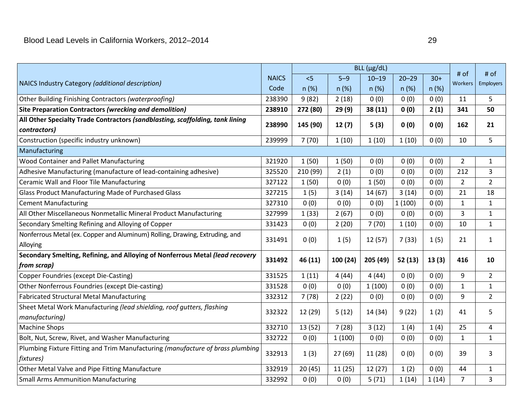| NAICS Industry Category (additional description)                               | <b>NAICS</b> | < 5      | $5 - 9$  | $10 - 19$ | $20 - 29$ | $30+$ | # of<br><b>Workers</b> | # of<br>Employers |
|--------------------------------------------------------------------------------|--------------|----------|----------|-----------|-----------|-------|------------------------|-------------------|
|                                                                                | Code         | n (%)    | n(%)     | n(%)      | n(%)      | n(%)  |                        |                   |
| Other Building Finishing Contractors (waterproofing)                           | 238390       | 9(82)    | 2(18)    | 0(0)      | 0(0)      | 0(0)  | 11                     | 5                 |
| Site Preparation Contractors (wrecking and demolition)                         | 238910       | 272 (80) | 29(9)    | 38 (11)   | 0(0)      | 2(1)  | 341                    | 50                |
| All Other Specialty Trade Contractors (sandblasting, scaffolding, tank lining  | 238990       | 145 (90) | 12(7)    | 5(3)      | 0(0)      | 0(0)  | 162                    | 21                |
| contractors)                                                                   |              |          |          |           |           |       |                        |                   |
| Construction (specific industry unknown)                                       | 239999       | 7(70)    | 1(10)    | 1(10)     | 1(10)     | 0(0)  | 10                     | 5                 |
| Manufacturing                                                                  |              |          |          |           |           |       |                        |                   |
| Wood Container and Pallet Manufacturing                                        | 321920       | 1(50)    | 1(50)    | 0(0)      | 0(0)      | 0(0)  | $\overline{2}$         | $\mathbf{1}$      |
| Adhesive Manufacturing (manufacture of lead-containing adhesive)               | 325520       | 210 (99) | 2(1)     | 0(0)      | 0(0)      | 0(0)  | 212                    | 3                 |
| Ceramic Wall and Floor Tile Manufacturing                                      | 327122       | 1(50)    | 0(0)     | 1(50)     | 0(0)      | 0(0)  | $\overline{2}$         | $\overline{2}$    |
| Glass Product Manufacturing Made of Purchased Glass                            | 327215       | 1(5)     | 3(14)    | 14(67)    | 3(14)     | 0(0)  | 21                     | 18                |
| <b>Cement Manufacturing</b>                                                    | 327310       | 0(0)     | 0(0)     | 0(0)      | 1(100)    | 0(0)  | $\mathbf{1}$           | $\mathbf{1}$      |
| All Other Miscellaneous Nonmetallic Mineral Product Manufacturing              | 327999       | 1(33)    | 2(67)    | 0(0)      | 0(0)      | 0(0)  | 3                      | $\mathbf{1}$      |
| Secondary Smelting Refining and Alloying of Copper                             | 331423       | 0(0)     | 2(20)    | 7(70)     | 1(10)     | 0(0)  | 10                     | $\mathbf{1}$      |
| Nonferrous Metal (ex. Copper and Aluminum) Rolling, Drawing, Extruding, and    | 331491       | 0(0)     | 1(5)     | 12(57)    | 7(33)     | 1(5)  | 21                     | $\mathbf{1}$      |
| Alloying                                                                       |              |          |          |           |           |       |                        |                   |
| Secondary Smelting, Refining, and Alloying of Nonferrous Metal (lead recovery  | 331492       | 46 (11)  | 100 (24) | 205 (49)  | 52(13)    | 13(3) | 416                    | 10                |
| from scrap)                                                                    |              |          |          |           |           |       |                        |                   |
| <b>Copper Foundries (except Die-Casting)</b>                                   | 331525       | 1(11)    | 4(44)    | 4(44)     | 0(0)      | 0(0)  | 9                      | $\overline{2}$    |
| Other Nonferrous Foundries (except Die-casting)                                | 331528       | 0(0)     | 0(0)     | 1(100)    | 0(0)      | 0(0)  | $\mathbf{1}$           | $\mathbf{1}$      |
| <b>Fabricated Structural Metal Manufacturing</b>                               | 332312       | 7(78)    | 2(22)    | 0(0)      | 0(0)      | 0(0)  | 9                      | $\overline{2}$    |
| Sheet Metal Work Manufacturing (lead shielding, roof gutters, flashing         | 332322       | 12 (29)  | 5(12)    | 14 (34)   | 9(22)     | 1(2)  | 41                     | 5                 |
| manufacturing)                                                                 |              |          |          |           |           |       |                        |                   |
| <b>Machine Shops</b>                                                           | 332710       | 13 (52)  | 7(28)    | 3(12)     | 1(4)      | 1(4)  | 25                     | 4                 |
| Bolt, Nut, Screw, Rivet, and Washer Manufacturing                              | 332722       | 0(0)     | 1(100)   | 0(0)      | 0(0)      | 0(0)  | $\mathbf{1}$           | $\mathbf{1}$      |
| Plumbing Fixture Fitting and Trim Manufacturing (manufacture of brass plumbing | 332913       | 1(3)     | 27(69)   | 11 (28)   | 0(0)      | 0(0)  | 39                     | 3                 |
| fixtures)                                                                      |              |          |          |           |           |       |                        |                   |
| Other Metal Valve and Pipe Fitting Manufacture                                 | 332919       | 20(45)   | 11(25)   | 12(27)    | 1(2)      | 0(0)  | 44                     | $\mathbf{1}$      |
| <b>Small Arms Ammunition Manufacturing</b>                                     | 332992       | 0(0)     | 0(0)     | 5(71)     | 1(14)     | 1(14) | $\overline{7}$         | 3                 |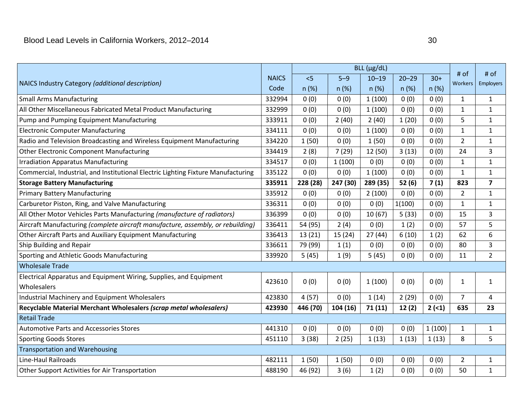| NAICS Industry Category (additional description)                                  | <b>NAICS</b> | 5        | $5 - 9$  | $10 - 19$ | $20 - 29$ | $30+$  | # of<br>Workers | # of<br>Employers |
|-----------------------------------------------------------------------------------|--------------|----------|----------|-----------|-----------|--------|-----------------|-------------------|
|                                                                                   | Code         | n(%)     | n(%)     | n(%)      | n(%)      | n(%)   |                 |                   |
| <b>Small Arms Manufacturing</b>                                                   | 332994       | 0(0)     | 0(0)     | 1(100)    | 0(0)      | 0(0)   | $\mathbf{1}$    | $\mathbf{1}$      |
| All Other Miscellaneous Fabricated Metal Product Manufacturing                    | 332999       | 0(0)     | 0(0)     | 1(100)    | 0(0)      | 0(0)   | $\mathbf{1}$    | $\mathbf{1}$      |
| Pump and Pumping Equipment Manufacturing                                          | 333911       | 0(0)     | 2(40)    | 2(40)     | 1(20)     | 0(0)   | 5               | $\mathbf{1}$      |
| <b>Electronic Computer Manufacturing</b>                                          | 334111       | 0(0)     | 0(0)     | 1(100)    | 0(0)      | 0(0)   | $\mathbf{1}$    | $\mathbf{1}$      |
| Radio and Television Broadcasting and Wireless Equipment Manufacturing            | 334220       | 1(50)    | 0(0)     | 1(50)     | 0(0)      | 0(0)   | $\overline{2}$  | $\mathbf{1}$      |
| <b>Other Electronic Component Manufacturing</b>                                   | 334419       | 2(8)     | 7(29)    | 12 (50)   | 3(13)     | 0(0)   | 24              | 3                 |
| <b>Irradiation Apparatus Manufacturing</b>                                        | 334517       | 0(0)     | 1(100)   | 0(0)      | 0(0)      | 0(0)   | $\mathbf{1}$    | 1                 |
| Commercial, Industrial, and Institutional Electric Lighting Fixture Manufacturing | 335122       | 0(0)     | 0(0)     | 1(100)    | 0(0)      | 0(0)   | $\mathbf{1}$    | $\mathbf{1}$      |
| <b>Storage Battery Manufacturing</b>                                              | 335911       | 228 (28) | 247 (30) | 289 (35)  | 52(6)     | 7(1)   | 823             | $\overline{7}$    |
| <b>Primary Battery Manufacturing</b>                                              | 335912       | 0(0)     | 0(0)     | 2(100)    | 0(0)      | 0(0)   | $\overline{2}$  | $\mathbf{1}$      |
| Carburetor Piston, Ring, and Valve Manufacturing                                  | 336311       | 0(0)     | 0(0)     | 0(0)      | 1(100)    | 0(0)   | $\mathbf{1}$    | 1                 |
| All Other Motor Vehicles Parts Manufacturing (manufacture of radiators)           | 336399       | 0(0)     | 0(0)     | 10(67)    | 5(33)     | 0(0)   | 15              | 3                 |
| Aircraft Manufacturing (complete aircraft manufacture, assembly, or rebuilding)   | 336411       | 54 (95)  | 2(4)     | 0(0)      | 1(2)      | 0(0)   | 57              | 5                 |
| Other Aircraft Parts and Auxiliary Equipment Manufacturing                        | 336413       | 13(21)   | 15(24)   | 27(44)    | 6(10)     | 1(2)   | 62              | 6                 |
| Ship Building and Repair                                                          | 336611       | 79 (99)  | 1(1)     | 0(0)      | 0(0)      | 0(0)   | 80              | 3                 |
| Sporting and Athletic Goods Manufacturing                                         | 339920       | 5(45)    | 1(9)     | 5(45)     | 0(0)      | 0(0)   | 11              | $\overline{2}$    |
| <b>Wholesale Trade</b>                                                            |              |          |          |           |           |        |                 |                   |
| Electrical Apparatus and Equipment Wiring, Supplies, and Equipment                | 423610       | 0(0)     | 0(0)     | 1(100)    | 0(0)      | 0(0)   | $\mathbf{1}$    | $\mathbf{1}$      |
| Wholesalers                                                                       |              |          |          |           |           |        |                 |                   |
| Industrial Machinery and Equipment Wholesalers                                    | 423830       | 4(57)    | 0(0)     | 1(14)     | 2(29)     | 0(0)   | $\overline{7}$  | $\overline{4}$    |
| Recyclable Material Merchant Wholesalers (scrap metal wholesalers)                | 423930       | 446 (70) | 104(16)  | 71(11)    | 12(2)     | 2(1)   | 635             | 23                |
| <b>Retail Trade</b>                                                               |              |          |          |           |           |        |                 |                   |
| <b>Automotive Parts and Accessories Stores</b>                                    | 441310       | 0(0)     | 0(0)     | 0(0)      | 0(0)      | 1(100) | $\mathbf{1}$    | $\mathbf{1}$      |
| <b>Sporting Goods Stores</b>                                                      | 451110       | 3(38)    | 2(25)    | 1(13)     | 1(13)     | 1(13)  | 8               | 5                 |
| <b>Transportation and Warehousing</b>                                             |              |          |          |           |           |        |                 |                   |
| Line-Haul Railroads                                                               | 482111       | 1(50)    | 1(50)    | 0(0)      | 0(0)      | 0(0)   | $\overline{2}$  | $\mathbf{1}$      |
| Other Support Activities for Air Transportation                                   | 488190       | 46 (92)  | 3(6)     | 1(2)      | 0(0)      | 0(0)   | 50              | $\mathbf{1}$      |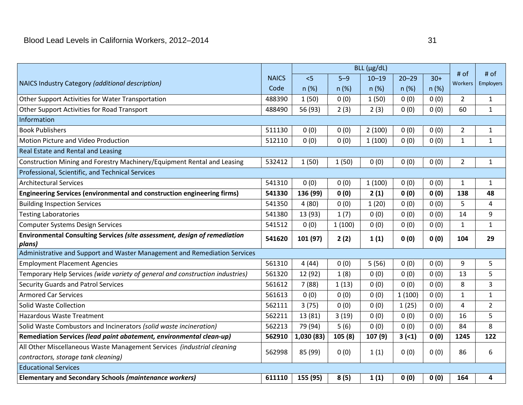|                                                                               |              |            |         | $BLL$ ( $\mu$ g/dL) |           |       |                 |                   |
|-------------------------------------------------------------------------------|--------------|------------|---------|---------------------|-----------|-------|-----------------|-------------------|
| NAICS Industry Category (additional description)                              | <b>NAICS</b> | $\leq$     | $5 - 9$ | $10 - 19$           | $20 - 29$ | $30+$ | # of<br>Workers | # of<br>Employers |
|                                                                               | Code         | n (%)      | n(%)    | n(%)                | n(%)      | n(%)  |                 |                   |
| Other Support Activities for Water Transportation                             | 488390       | 1(50)      | 0(0)    | 1(50)               | 0(0)      | 0(0)  | $\overline{2}$  | $\mathbf{1}$      |
| Other Support Activities for Road Transport                                   | 488490       | 56 (93)    | 2(3)    | 2(3)                | 0(0)      | 0(0)  | 60              | $\mathbf{1}$      |
| Information                                                                   |              |            |         |                     |           |       |                 |                   |
| <b>Book Publishers</b>                                                        | 511130       | 0(0)       | 0(0)    | 2(100)              | 0(0)      | 0(0)  | $\overline{2}$  | $\mathbf{1}$      |
| Motion Picture and Video Production                                           | 512110       | 0(0)       | 0(0)    | 1(100)              | 0(0)      | 0(0)  | $\mathbf{1}$    | $1\,$             |
| Real Estate and Rental and Leasing                                            |              |            |         |                     |           |       |                 |                   |
| Construction Mining and Forestry Machinery/Equipment Rental and Leasing       | 532412       | 1(50)      | 1(50)   | 0(0)                | 0(0)      | 0(0)  | $\overline{2}$  | $\mathbf{1}$      |
| Professional, Scientific, and Technical Services                              |              |            |         |                     |           |       |                 |                   |
| <b>Architectural Services</b>                                                 | 541310       | 0(0)       | 0(0)    | 1(100)              | 0(0)      | 0(0)  | $\mathbf{1}$    | $\mathbf{1}$      |
| Engineering Services (environmental and construction engineering firms)       | 541330       | 136 (99)   | 0(0)    | 2(1)                | 0(0)      | 0(0)  | 138             | 48                |
| <b>Building Inspection Services</b>                                           | 541350       | 4(80)      | 0(0)    | 1(20)               | 0(0)      | 0(0)  | 5               | 4                 |
| <b>Testing Laboratories</b>                                                   | 541380       | 13 (93)    | 1(7)    | 0(0)                | 0(0)      | 0(0)  | 14              | 9                 |
| <b>Computer Systems Design Services</b>                                       | 541512       | 0(0)       | 1(100)  | 0(0)                | 0(0)      | 0(0)  | $\mathbf{1}$    | $1\,$             |
| Environmental Consulting Services (site assessment, design of remediation     | 541620       | 101 (97)   | 2(2)    | 1(1)                | 0(0)      | 0(0)  | 104             | 29                |
| plans)                                                                        |              |            |         |                     |           |       |                 |                   |
| Administrative and Support and Waster Management and Remediation Services     |              |            |         |                     |           |       |                 |                   |
| <b>Employment Placement Agencies</b>                                          | 561310       | 4(44)      | 0(0)    | 5(56)               | 0(0)      | 0(0)  | 9               | 5                 |
| Temporary Help Services (wide variety of general and construction industries) | 561320       | 12 (92)    | 1(8)    | 0(0)                | 0(0)      | 0(0)  | 13              | 5                 |
| <b>Security Guards and Patrol Services</b>                                    | 561612       | 7(88)      | 1(13)   | 0(0)                | 0(0)      | 0(0)  | 8               | 3                 |
| <b>Armored Car Services</b>                                                   | 561613       | 0(0)       | 0(0)    | 0(0)                | 1(100)    | 0(0)  | $\mathbf{1}$    | $\mathbf{1}$      |
| Solid Waste Collection                                                        | 562111       | 3(75)      | 0(0)    | 0(0)                | 1(25)     | 0(0)  | $\overline{4}$  | $\overline{2}$    |
| <b>Hazardous Waste Treatment</b>                                              | 562211       | 13 (81)    | 3(19)   | 0(0)                | 0(0)      | 0(0)  | 16              | 5                 |
| Solid Waste Combustors and Incinerators (solid waste incineration)            | 562213       | 79 (94)    | 5(6)    | 0(0)                | 0(0)      | 0(0)  | 84              | 8                 |
| Remediation Services (lead paint abatement, environmental clean-up)           | 562910       | 1,030 (83) | 105 (8) | 107 (9)             | 3(1)      | 0(0)  | 1245            | 122               |
| All Other Miscellaneous Waste Management Services (industrial cleaning        | 562998       | 85 (99)    | 0(0)    | 1(1)                | 0(0)      | 0(0)  | 86              | 6                 |
| contractors, storage tank cleaning)                                           |              |            |         |                     |           |       |                 |                   |
| <b>Educational Services</b>                                                   |              |            |         |                     |           |       |                 |                   |
| <b>Elementary and Secondary Schools (maintenance workers)</b>                 | 611110       | 155 (95)   | 8(5)    | 1(1)                | 0(0)      | 0(0)  | 164             | 4                 |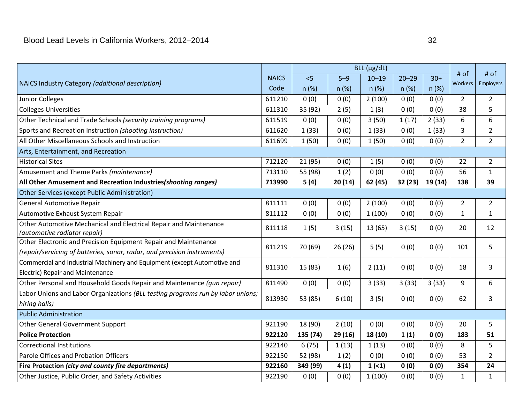| NAICS Industry Category (additional description)                                | <b>NAICS</b> | 5        | $5 - 9$ | $10 - 19$ | $20 - 29$ | $30+$   | # of<br>Workers  | # of<br>Employers |
|---------------------------------------------------------------------------------|--------------|----------|---------|-----------|-----------|---------|------------------|-------------------|
|                                                                                 | Code         | n (%)    | n (%)   | n(%)      | n(%)      | n(%)    |                  |                   |
| Junior Colleges                                                                 | 611210       | 0(0)     | 0(0)    | 2(100)    | 0(0)      | 0(0)    | $\overline{2}$   | $\overline{2}$    |
| <b>Colleges Universities</b>                                                    | 611310       | 35 (92)  | 2(5)    | 1(3)      | 0(0)      | 0(0)    | 38               | 5                 |
| Other Technical and Trade Schools (security training programs)                  | 611519       | 0(0)     | 0(0)    | 3(50)     | 1(17)     | 2(33)   | $\boldsymbol{6}$ | $\boldsymbol{6}$  |
| Sports and Recreation Instruction (shooting instruction)                        | 611620       | 1(33)    | 0(0)    | 1(33)     | 0(0)      | 1(33)   | 3                | $\overline{2}$    |
| All Other Miscellaneous Schools and Instruction                                 | 611699       | 1(50)    | 0(0)    | 1(50)     | 0(0)      | 0(0)    | $\overline{2}$   | $\overline{2}$    |
| Arts, Entertainment, and Recreation                                             |              |          |         |           |           |         |                  |                   |
| <b>Historical Sites</b>                                                         | 712120       | 21 (95)  | 0(0)    | 1(5)      | 0(0)      | 0(0)    | 22               | $\overline{2}$    |
| Amusement and Theme Parks (maintenance)                                         | 713110       | 55 (98)  | 1(2)    | 0(0)      | 0(0)      | 0(0)    | 56               | $\mathbf{1}$      |
| All Other Amusement and Recreation Industries (shooting ranges)                 | 713990       | 5(4)     | 20(14)  | 62 (45)   | 32(23)    | 19 (14) | 138              | 39                |
| <b>Other Services (except Public Administration)</b>                            |              |          |         |           |           |         |                  |                   |
| General Automotive Repair                                                       | 811111       | 0(0)     | 0(0)    | 2(100)    | 0(0)      | 0(0)    | $\overline{2}$   | $\overline{2}$    |
| Automotive Exhaust System Repair                                                | 811112       | 0(0)     | 0(0)    | 1(100)    | 0(0)      | 0(0)    | $\mathbf{1}$     | $\mathbf{1}$      |
| Other Automotive Mechanical and Electrical Repair and Maintenance               | 811118       | 1(5)     | 3(15)   | 13 (65)   | 3(15)     | 0(0)    | 20               | 12                |
| (automotive radiator repair)                                                    |              |          |         |           |           |         |                  |                   |
| Other Electronic and Precision Equipment Repair and Maintenance                 | 811219       | 70 (69)  | 26(26)  | 5(5)      | 0(0)      | 0(0)    | 101              | 5                 |
| (repair/servicing of batteries, sonar, radar, and precision instruments)        |              |          |         |           |           |         |                  |                   |
| Commercial and Industrial Machinery and Equipment (except Automotive and        | 811310       | 15(83)   | 1(6)    | 2(11)     | 0(0)      | 0(0)    | 18               | $\overline{3}$    |
| Electric) Repair and Maintenance                                                |              |          |         |           |           |         |                  |                   |
| Other Personal and Household Goods Repair and Maintenance (gun repair)          | 811490       | 0(0)     | 0(0)    | 3(33)     | 3(33)     | 3(33)   | 9                | 6                 |
| Labor Unions and Labor Organizations (BLL testing programs run by labor unions; | 813930       | 53 (85)  | 6(10)   | 3(5)      | 0(0)      | 0(0)    | 62               | 3                 |
| hiring halls)                                                                   |              |          |         |           |           |         |                  |                   |
| <b>Public Administration</b>                                                    |              |          |         |           |           |         |                  |                   |
| <b>Other General Government Support</b>                                         | 921190       | 18 (90)  | 2(10)   | 0(0)      | 0(0)      | 0(0)    | 20               | 5                 |
| <b>Police Protection</b>                                                        | 922120       | 135 (74) | 29(16)  | 18 (10)   | 1(1)      | 0(0)    | 183              | 51                |
| <b>Correctional Institutions</b>                                                | 922140       | 6(75)    | 1(13)   | 1(13)     | 0(0)      | 0(0)    | 8                | 5                 |
| Parole Offices and Probation Officers                                           | 922150       | 52 (98)  | 1(2)    | 0(0)      | 0(0)      | 0(0)    | 53               | $\overline{2}$    |
| <b>Fire Protection (city and county fire departments)</b>                       | 922160       | 349 (99) | 4(1)    | 1(1)      | 0(0)      | 0(0)    | 354              | 24                |
| Other Justice, Public Order, and Safety Activities                              | 922190       | 0(0)     | 0(0)    | 1(100)    | 0(0)      | 0(0)    | $\mathbf{1}$     | $\mathbf{1}$      |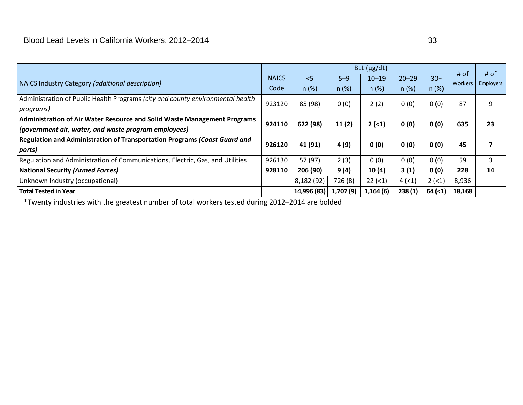|                                                                                |              | $BLL$ ( $\mu$ g/dL) |           |           |           |         |                        |                          |
|--------------------------------------------------------------------------------|--------------|---------------------|-----------|-----------|-----------|---------|------------------------|--------------------------|
| NAICS Industry Category (additional description)                               | <b>NAICS</b> | $\leq$              | $5 - 9$   | $10 - 19$ | $20 - 29$ | $30+$   | # of<br><b>Workers</b> | # of<br><b>Employers</b> |
|                                                                                | Code         | n(%)                | n(%)      | n(%)      | n(%)      | $n$ (%) |                        |                          |
| Administration of Public Health Programs (city and county environmental health | 923120       | 85 (98)             | 0(0)      | 2(2)      | 0(0)      | 0(0)    | 87                     | 9                        |
| programs)                                                                      |              |                     |           |           |           |         |                        |                          |
| Administration of Air Water Resource and Solid Waste Management Programs       | 924110       | 622 (98)            | 11(2)     | $2(-1)$   | 0(0)      | 0(0)    | 635                    | 23                       |
| $\vert$ (government air, water, and waste program employees)                   |              |                     |           |           |           |         |                        |                          |
| Regulation and Administration of Transportation Programs (Coast Guard and      | 926120       | 41 (91)             | 4 (9)     | 0(0)      | 0(0)      | 0(0)    | 45                     |                          |
| ports)                                                                         |              |                     |           |           |           |         |                        |                          |
| Regulation and Administration of Communications, Electric, Gas, and Utilities  | 926130       | 57 (97)             | 2(3)      | 0(0)      | 0(0)      | 0(0)    | 59                     | 3                        |
| National Security (Armed Forces)                                               | 928110       | 206 (90)            | 9(4)      | 10(4)     | 3(1)      | 0(0)    | 228                    | 14                       |
| Unknown Industry (occupational)                                                |              | 8,182 (92)          | 726 (8)   | $22$ (<1) | 4(1)      | $2(-1)$ | 8,936                  |                          |
| Total Tested in Year                                                           |              | 14,996 (83)         | 1,707 (9) | 1,164(6)  | 238(1)    | 64 (2)  | 18,168                 |                          |

\*Twenty industries with the greatest number of total workers tested during 2012–2014 are bolded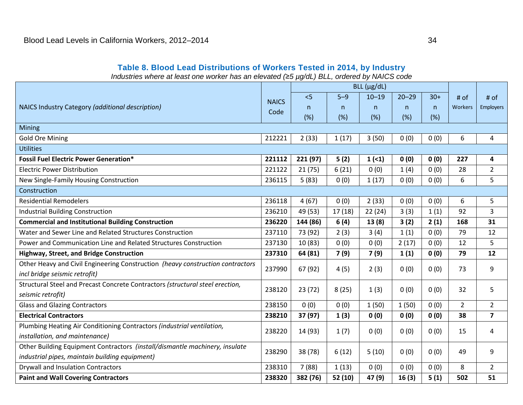#### **Table 8. Blood Lead Distributions of Workers Tested in 2014, by Industry**

*Industries where at least one worker has an elevated (*≥*5 µg/dL) BLL, ordered by NAICS code* 

<span id="page-37-0"></span>

|                                                                                                                 |              |          |         | $BLL$ ( $\mu$ g/dL) |              |       |                |                         |
|-----------------------------------------------------------------------------------------------------------------|--------------|----------|---------|---------------------|--------------|-------|----------------|-------------------------|
|                                                                                                                 | <b>NAICS</b> | < 5      | $5-9$   | $10 - 19$           | $20 - 29$    | $30+$ | # of           | # of                    |
| NAICS Industry Category (additional description)                                                                | Code         | n.       | n.      | n                   | $\mathsf{n}$ | n.    | Workers        | Employers               |
|                                                                                                                 |              | (%)      | (%)     | (%)                 | (%)          | (%)   |                |                         |
| <b>Mining</b>                                                                                                   |              |          |         |                     |              |       |                |                         |
| <b>Gold Ore Mining</b>                                                                                          | 212221       | 2(33)    | 1(17)   | 3(50)               | 0(0)         | 0(0)  | 6              | 4                       |
| <b>Utilities</b>                                                                                                |              |          |         |                     |              |       |                |                         |
| <b>Fossil Fuel Electric Power Generation*</b>                                                                   | 221112       | 221 (97) | 5(2)    | 1(1)                | 0(0)         | 0(0)  | 227            | 4                       |
| <b>Electric Power Distribution</b>                                                                              | 221122       | 21(75)   | 6(21)   | 0(0)                | 1(4)         | 0(0)  | 28             | $\overline{2}$          |
| New Single-Family Housing Construction                                                                          | 236115       | 5(83)    | 0(0)    | 1(17)               | 0(0)         | 0(0)  | 6              | 5                       |
| Construction                                                                                                    |              |          |         |                     |              |       |                |                         |
| <b>Residential Remodelers</b>                                                                                   | 236118       | 4(67)    | 0(0)    | 2(33)               | 0(0)         | 0(0)  | 6              | 5                       |
| <b>Industrial Building Construction</b>                                                                         | 236210       | 49 (53)  | 17(18)  | 22(24)              | 3(3)         | 1(1)  | 92             | 3                       |
| <b>Commercial and Institutional Building Construction</b>                                                       | 236220       | 144 (86) | 6(4)    | 13(8)               | 3(2)         | 2(1)  | 168            | 31                      |
| Water and Sewer Line and Related Structures Construction                                                        | 237110       | 73 (92)  | 2(3)    | 3(4)                | 1(1)         | 0(0)  | 79             | 12                      |
| Power and Communication Line and Related Structures Construction                                                | 237130       | 10(83)   | 0(0)    | 0(0)                | 2(17)        | 0(0)  | 12             | 5                       |
| Highway, Street, and Bridge Construction                                                                        | 237310       | 64 (81)  | 7(9)    | 7(9)                | 1(1)         | 0(0)  | 79             | 12                      |
| Other Heavy and Civil Engineering Construction (heavy construction contractors<br>incl bridge seismic retrofit) | 237990       | 67 (92)  | 4(5)    | 2(3)                | 0(0)         | 0(0)  | 73             | 9                       |
| Structural Steel and Precast Concrete Contractors (structural steel erection,                                   | 238120       | 23(72)   | 8(25)   | 1(3)                | 0(0)         | 0(0)  | 32             | 5                       |
| seismic retrofit)                                                                                               |              |          |         |                     |              |       |                |                         |
| <b>Glass and Glazing Contractors</b>                                                                            | 238150       | 0(0)     | 0(0)    | 1(50)               | 1(50)        | 0(0)  | $\overline{2}$ | $\overline{2}$          |
| <b>Electrical Contractors</b>                                                                                   | 238210       | 37 (97)  | 1(3)    | 0(0)                | 0(0)         | 0(0)  | 38             | $\overline{\mathbf{z}}$ |
| Plumbing Heating Air Conditioning Contractors (industrial ventilation,                                          | 238220       | 14 (93)  | 1(7)    | 0(0)                | 0(0)         | 0(0)  | 15             | 4                       |
| installation, and maintenance)                                                                                  |              |          |         |                     |              |       |                |                         |
| Other Building Equipment Contractors (install/dismantle machinery, insulate                                     | 238290       | 38 (78)  | 6(12)   | 5(10)               | 0(0)         | 0(0)  | 49             | 9                       |
| industrial pipes, maintain building equipment)                                                                  |              |          |         |                     |              |       |                |                         |
| <b>Drywall and Insulation Contractors</b>                                                                       | 238310       | 7(88)    | 1(13)   | 0(0)                | 0(0)         | 0(0)  | 8              | $\overline{2}$          |
| <b>Paint and Wall Covering Contractors</b>                                                                      | 238320       | 382 (76) | 52 (10) | 47 (9)              | 16(3)        | 5(1)  | 502            | 51                      |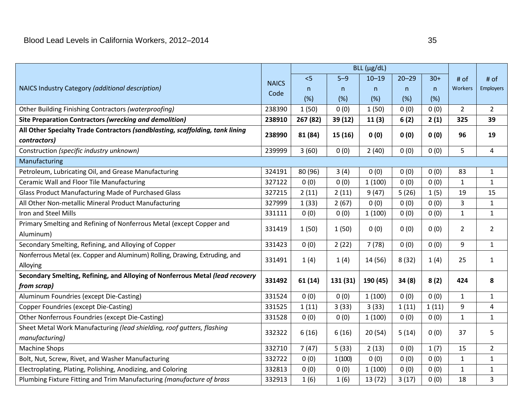|                                                                               |              |          |          | $BLL$ ( $\mu$ g/dL) |           |       |                |                |
|-------------------------------------------------------------------------------|--------------|----------|----------|---------------------|-----------|-------|----------------|----------------|
|                                                                               | <b>NAICS</b> | < 5      | $5 - 9$  | $10 - 19$           | $20 - 29$ | $30+$ | # of           | # of           |
| NAICS Industry Category (additional description)                              | Code         | n        | n.       | n                   | n         | n     | <b>Workers</b> | Employers      |
|                                                                               |              | (%)      | (%)      | (%)                 | (%)       | (%)   |                |                |
| Other Building Finishing Contractors (waterproofing)                          | 238390       | 1(50)    | 0(0)     | 1(50)               | 0(0)      | 0(0)  | $\overline{2}$ | $\overline{2}$ |
| Site Preparation Contractors (wrecking and demolition)                        | 238910       | 267 (82) | 39 (12)  | 11(3)               | 6(2)      | 2(1)  | 325            | 39             |
| All Other Specialty Trade Contractors (sandblasting, scaffolding, tank lining | 238990       | 81 (84)  | 15 (16)  | 0(0)                | 0(0)      | 0(0)  | 96             | 19             |
| contractors)                                                                  |              |          |          |                     |           |       |                |                |
| Construction (specific industry unknown)                                      | 239999       | 3(60)    | 0(0)     | 2(40)               | 0(0)      | 0(0)  | 5              | 4              |
| Manufacturing                                                                 |              |          |          |                     |           |       |                |                |
| Petroleum, Lubricating Oil, and Grease Manufacturing                          | 324191       | 80 (96)  | 3(4)     | 0(0)                | 0(0)      | 0(0)  | 83             | $\mathbf{1}$   |
| Ceramic Wall and Floor Tile Manufacturing                                     | 327122       | 0(0)     | 0(0)     | 1(100)              | 0(0)      | 0(0)  | $\mathbf{1}$   | $\mathbf{1}$   |
| <b>Glass Product Manufacturing Made of Purchased Glass</b>                    | 327215       | 2(11)    | 2(11)    | 9(47)               | 5(26)     | 1(5)  | 19             | 15             |
| All Other Non-metallic Mineral Product Manufacturing                          | 327999       | 1(33)    | 2(67)    | 0(0)                | 0(0)      | 0(0)  | 3              | $\mathbf{1}$   |
| Iron and Steel Mills                                                          | 331111       | 0(0)     | 0(0)     | 1(100)              | 0(0)      | 0(0)  | $\mathbf{1}$   | $\mathbf{1}$   |
| Primary Smelting and Refining of Nonferrous Metal (except Copper and          | 331419       | 1(50)    | 1(50)    | 0(0)                | 0(0)      | 0(0)  | $\overline{2}$ | $\overline{2}$ |
| Aluminum)                                                                     |              |          |          |                     |           |       |                |                |
| Secondary Smelting, Refining, and Alloying of Copper                          | 331423       | 0(0)     | 2(22)    | 7(78)               | 0(0)      | 0(0)  | 9              | $\mathbf{1}$   |
| Nonferrous Metal (ex. Copper and Aluminum) Rolling, Drawing, Extruding, and   | 331491       | 1(4)     | 1(4)     | 14 (56)             | 8(32)     | 1(4)  | 25             | $\mathbf{1}$   |
| Alloying                                                                      |              |          |          |                     |           |       |                |                |
| Secondary Smelting, Refining, and Alloying of Nonferrous Metal (lead recovery | 331492       | 61(14)   | 131 (31) | 190 (45)            | 34(8)     | 8(2)  | 424            | 8              |
| from scrap)                                                                   |              |          |          |                     |           |       |                |                |
| Aluminum Foundries (except Die-Casting)                                       | 331524       | 0(0)     | 0(0)     | 1(100)              | 0(0)      | 0(0)  | $\mathbf{1}$   | $\mathbf{1}$   |
| <b>Copper Foundries (except Die-Casting)</b>                                  | 331525       | 1(11)    | 3(33)    | 3(33)               | 1(11)     | 1(11) | 9              | 4              |
| Other Nonferrous Foundries (except Die-Casting)                               | 331528       | 0(0)     | 0(0)     | 1(100)              | 0(0)      | 0(0)  | $\mathbf{1}$   | $\mathbf{1}$   |
| Sheet Metal Work Manufacturing (lead shielding, roof gutters, flashing        | 332322       | 6(16)    | 6(16)    | 20(54)              | 5(14)     | 0(0)  | 37             | 5              |
| manufacturing)                                                                |              |          |          |                     |           |       |                |                |
| <b>Machine Shops</b>                                                          | 332710       | 7(47)    | 5(33)    | 2(13)               | 0(0)      | 1(7)  | 15             | $\overline{2}$ |
| Bolt, Nut, Screw, Rivet, and Washer Manufacturing                             | 332722       | 0(0)     | 1(100)   | 0(0)                | 0(0)      | 0(0)  | $\mathbf{1}$   | 1              |
| Electroplating, Plating, Polishing, Anodizing, and Coloring                   | 332813       | 0(0)     | 0(0)     | 1(100)              | 0(0)      | 0(0)  | $\mathbf{1}$   | $\mathbf{1}$   |
| Plumbing Fixture Fitting and Trim Manufacturing (manufacture of brass         | 332913       | 1(6)     | 1(6)     | 13(72)              | 3(17)     | 0(0)  | 18             | $\overline{3}$ |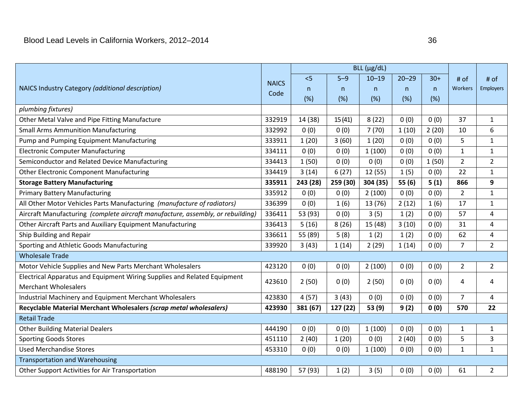|                                                                                 |              | $BLL$ ( $\mu$ g/dL) |          |           |              |       |                |                |
|---------------------------------------------------------------------------------|--------------|---------------------|----------|-----------|--------------|-------|----------------|----------------|
| NAICS Industry Category (additional description)                                | <b>NAICS</b> | < 5                 | $5 - 9$  | $10 - 19$ | $20 - 29$    | $30+$ | # of           | # of           |
|                                                                                 | Code         | n                   | n        | n         | $\mathsf{n}$ | n     | <b>Workers</b> | Employers      |
|                                                                                 |              | (%)                 | (%)      | (%)       | (%)          | (%)   |                |                |
| plumbing fixtures)                                                              |              |                     |          |           |              |       |                |                |
| Other Metal Valve and Pipe Fitting Manufacture                                  | 332919       | 14 (38)             | 15(41)   | 8(22)     | 0(0)         | 0(0)  | 37             | $\mathbf{1}$   |
| <b>Small Arms Ammunition Manufacturing</b>                                      | 332992       | 0(0)                | 0(0)     | 7(70)     | 1(10)        | 2(20) | 10             | 6              |
| Pump and Pumping Equipment Manufacturing                                        | 333911       | 1(20)               | 3(60)    | 1(20)     | 0(0)         | 0(0)  | 5              | $\mathbf{1}$   |
| <b>Electronic Computer Manufacturing</b>                                        | 334111       | 0(0)                | 0(0)     | 1(100)    | 0(0)         | 0(0)  | $\mathbf{1}$   | $\mathbf{1}$   |
| Semiconductor and Related Device Manufacturing                                  | 334413       | 1(50)               | 0(0)     | 0(0)      | 0(0)         | 1(50) | $\overline{2}$ | $\overline{2}$ |
| <b>Other Electronic Component Manufacturing</b>                                 | 334419       | 3(14)               | 6(27)    | 12 (55)   | 1(5)         | 0(0)  | 22             | $\mathbf{1}$   |
| <b>Storage Battery Manufacturing</b>                                            | 335911       | 243 (28)            | 259 (30) | 304 (35)  | 55(6)        | 5(1)  | 866            | 9              |
| <b>Primary Battery Manufacturing</b>                                            | 335912       | 0(0)                | 0(0)     | 2(100)    | 0(0)         | 0(0)  | $\overline{2}$ | $\mathbf{1}$   |
| All Other Motor Vehicles Parts Manufacturing (manufacture of radiators)         | 336399       | 0(0)                | 1(6)     | 13 (76)   | 2(12)        | 1(6)  | 17             | $\mathbf{1}$   |
| Aircraft Manufacturing (complete aircraft manufacture, assembly, or rebuilding) | 336411       | 53 (93)             | 0(0)     | 3(5)      | 1(2)         | 0(0)  | 57             | 4              |
| Other Aircraft Parts and Auxiliary Equipment Manufacturing                      | 336413       | 5(16)               | 8(26)    | 15 (48)   | 3(10)        | 0(0)  | 31             | 4              |
| Ship Building and Repair                                                        | 336611       | 55 (89)             | 5(8)     | 1(2)      | 1(2)         | 0(0)  | 62             | $\overline{4}$ |
| Sporting and Athletic Goods Manufacturing                                       | 339920       | 3(43)               | 1(14)    | 2(29)     | 1(14)        | 0(0)  | $\overline{7}$ | $\overline{2}$ |
| <b>Wholesale Trade</b>                                                          |              |                     |          |           |              |       |                |                |
| Motor Vehicle Supplies and New Parts Merchant Wholesalers                       | 423120       | 0(0)                | 0(0)     | 2(100)    | 0(0)         | 0(0)  | $\overline{2}$ | $\overline{2}$ |
| Electrical Apparatus and Equipment Wiring Supplies and Related Equipment        | 423610       | 2(50)               | 0(0)     | 2(50)     | 0(0)         | 0(0)  | 4              | 4              |
| <b>Merchant Wholesalers</b>                                                     |              |                     |          |           |              |       |                |                |
| Industrial Machinery and Equipment Merchant Wholesalers                         | 423830       | 4(57)               | 3(43)    | 0(0)      | 0(0)         | 0(0)  | $\overline{7}$ | 4              |
| Recyclable Material Merchant Wholesalers (scrap metal wholesalers)              | 423930       | 381 (67)            | 127 (22) | 53 (9)    | 9(2)         | 0(0)  | 570            | 22             |
| <b>Retail Trade</b>                                                             |              |                     |          |           |              |       |                |                |
| <b>Other Building Material Dealers</b>                                          | 444190       | 0(0)                | 0(0)     | 1(100)    | 0(0)         | 0(0)  | $\mathbf{1}$   | $\mathbf{1}$   |
| <b>Sporting Goods Stores</b>                                                    | 451110       | 2(40)               | 1(20)    | 0(0)      | 2(40)        | 0(0)  | 5              | 3              |
| <b>Used Merchandise Stores</b>                                                  | 453310       | 0(0)                | 0(0)     | 1(100)    | 0(0)         | 0(0)  | $\mathbf{1}$   | $\mathbf{1}$   |
| <b>Transportation and Warehousing</b>                                           |              |                     |          |           |              |       |                |                |
| Other Support Activities for Air Transportation                                 | 488190       | 57 (93)             | 1(2)     | 3(5)      | 0(0)         | 0(0)  | 61             | $\overline{2}$ |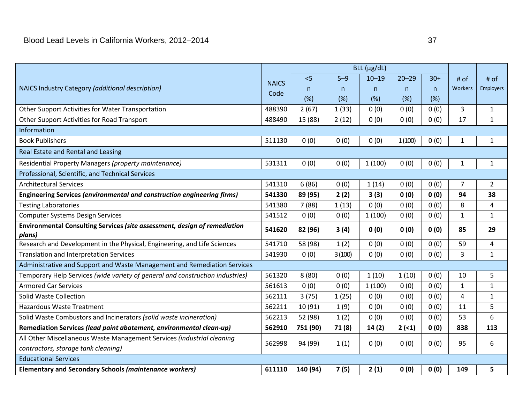|                                                                                     |              | $BLL$ ( $\mu$ g/dL) |         |           |           |       |                |                |
|-------------------------------------------------------------------------------------|--------------|---------------------|---------|-----------|-----------|-------|----------------|----------------|
| NAICS Industry Category (additional description)                                    | <b>NAICS</b> | < 5                 | $5 - 9$ | $10 - 19$ | $20 - 29$ | $30+$ | $#$ of         | $#$ of         |
|                                                                                     | Code         | n.                  | n.      | n.        | n         | n.    | Workers        | Employers      |
|                                                                                     |              | (%)                 | (%)     | (%)       | (%)       | (%)   |                |                |
| Other Support Activities for Water Transportation                                   | 488390       | 2(67)               | 1(33)   | 0(0)      | 0(0)      | 0(0)  | 3              | 1              |
| Other Support Activities for Road Transport                                         | 488490       | 15 (88)             | 2(12)   | 0(0)      | 0(0)      | 0(0)  | 17             | 1              |
| Information                                                                         |              |                     |         |           |           |       |                |                |
| <b>Book Publishers</b>                                                              | 511130       | 0(0)                | 0(0)    | 0(0)      | 1(100)    | 0(0)  | $\mathbf{1}$   | $\mathbf{1}$   |
| Real Estate and Rental and Leasing                                                  |              |                     |         |           |           |       |                |                |
| Residential Property Managers (property maintenance)                                | 531311       | 0(0)                | 0(0)    | 1(100)    | 0(0)      | 0(0)  | $\mathbf{1}$   | $\mathbf{1}$   |
| Professional, Scientific, and Technical Services                                    |              |                     |         |           |           |       |                |                |
| <b>Architectural Services</b>                                                       | 541310       | 6(86)               | 0(0)    | 1(14)     | 0(0)      | 0(0)  | 7              | $\overline{2}$ |
| Engineering Services (environmental and construction engineering firms)             | 541330       | 89 (95)             | 2(2)    | 3(3)      | 0(0)      | 0(0)  | 94             | 38             |
| <b>Testing Laboratories</b>                                                         | 541380       | 7(88)               | 1(13)   | 0(0)      | 0(0)      | 0(0)  | 8              | $\overline{4}$ |
| <b>Computer Systems Design Services</b>                                             | 541512       | 0(0)                | 0(0)    | 1(100)    | 0(0)      | 0(0)  | 1              | 1              |
| Environmental Consulting Services (site assessment, design of remediation<br>plans) | 541620       | 82 (96)             | 3(4)    | 0(0)      | 0(0)      | 0(0)  | 85             | 29             |
| Research and Development in the Physical, Engineering, and Life Sciences            | 541710       | 58 (98)             | 1(2)    | 0(0)      | 0(0)      | 0(0)  | 59             | 4              |
| Translation and Interpretation Services                                             | 541930       | 0(0)                | 3(100)  | 0(0)      | 0(0)      | 0(0)  | $\overline{3}$ | $\mathbf{1}$   |
| Administrative and Support and Waste Management and Remediation Services            |              |                     |         |           |           |       |                |                |
| Temporary Help Services (wide variety of general and construction industries)       | 561320       | 8(80)               | 0(0)    | 1(10)     | 1(10)     | 0(0)  | 10             | 5              |
| <b>Armored Car Services</b>                                                         | 561613       | 0(0)                | 0(0)    | 1(100)    | 0(0)      | 0(0)  | $\mathbf{1}$   | $\mathbf{1}$   |
| Solid Waste Collection                                                              | 562111       | 3(75)               | 1(25)   | 0(0)      | 0(0)      | 0(0)  | 4              | $\mathbf{1}$   |
| <b>Hazardous Waste Treatment</b>                                                    | 562211       | 10 (91)             | 1(9)    | 0(0)      | 0(0)      | 0(0)  | 11             | 5              |
| Solid Waste Combustors and Incinerators (solid waste incineration)                  | 562213       | 52 (98)             | 1(2)    | 0(0)      | 0(0)      | 0(0)  | 53             | 6              |
| Remediation Services (lead paint abatement, environmental clean-up)                 | 562910       | 751 (90)            | 71(8)   | 14(2)     | 2(1)      | 0(0)  | 838            | 113            |
| All Other Miscellaneous Waste Management Services (industrial cleaning              | 562998       | 94 (99)             | 1(1)    | 0(0)      | 0(0)      | 0(0)  | 95             | 6              |
| contractors, storage tank cleaning)                                                 |              |                     |         |           |           |       |                |                |
| <b>Educational Services</b>                                                         |              |                     |         |           |           |       |                |                |
| <b>Elementary and Secondary Schools (maintenance workers)</b>                       | 611110       | 140 (94)            | 7(5)    | 2(1)      | 0(0)      | 0(0)  | 149            | 5              |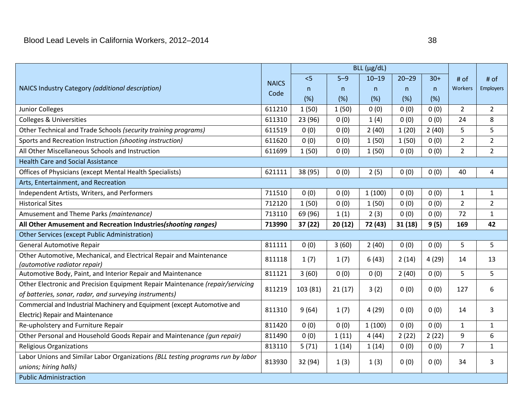|                                                                                                                                         |              | $BLL$ ( $\mu$ g/dL) |         |           |           |       |                |                |
|-----------------------------------------------------------------------------------------------------------------------------------------|--------------|---------------------|---------|-----------|-----------|-------|----------------|----------------|
| NAICS Industry Category (additional description)                                                                                        | <b>NAICS</b> | < 5                 | $5 - 9$ | $10 - 19$ | $20 - 29$ | $30+$ | # of           | # of           |
|                                                                                                                                         | Code         | n                   | n       | n         | n         | n.    | <b>Workers</b> | Employers      |
|                                                                                                                                         |              | (%)                 | (%)     | (%)       | (%)       | (%)   |                |                |
| Junior Colleges                                                                                                                         | 611210       | 1(50)               | 1(50)   | 0(0)      | 0(0)      | 0(0)  | $\overline{2}$ | $\overline{2}$ |
| <b>Colleges &amp; Universities</b>                                                                                                      | 611310       | 23 (96)             | 0(0)    | 1(4)      | 0(0)      | 0(0)  | 24             | 8              |
| Other Technical and Trade Schools (security training programs)                                                                          | 611519       | 0(0)                | 0(0)    | 2(40)     | 1(20)     | 2(40) | 5              | 5              |
| Sports and Recreation Instruction (shooting instruction)                                                                                | 611620       | 0(0)                | 0(0)    | 1(50)     | 1(50)     | 0(0)  | $\overline{2}$ | $\overline{2}$ |
| All Other Miscellaneous Schools and Instruction                                                                                         | 611699       | 1(50)               | 0(0)    | 1(50)     | 0(0)      | 0(0)  | $\overline{2}$ | $\overline{2}$ |
| <b>Health Care and Social Assistance</b>                                                                                                |              |                     |         |           |           |       |                |                |
| Offices of Physicians (except Mental Health Specialists)                                                                                | 621111       | 38 (95)             | 0(0)    | 2(5)      | 0(0)      | 0(0)  | 40             | 4              |
| Arts, Entertainment, and Recreation                                                                                                     |              |                     |         |           |           |       |                |                |
| Independent Artists, Writers, and Performers                                                                                            | 711510       | 0(0)                | 0(0)    | 1(100)    | 0(0)      | 0(0)  | $\mathbf{1}$   | 1              |
| <b>Historical Sites</b>                                                                                                                 | 712120       | 1(50)               | 0(0)    | 1(50)     | 0(0)      | 0(0)  | $\overline{2}$ | $\overline{2}$ |
| Amusement and Theme Parks (maintenance)                                                                                                 | 713110       | 69 (96)             | 1(1)    | 2(3)      | 0(0)      | 0(0)  | 72             | $\mathbf{1}$   |
| All Other Amusement and Recreation Industries (shooting ranges)                                                                         | 713990       | 37 (22)             | 20(12)  | 72 (43)   | 31(18)    | 9(5)  | 169            | 42             |
| Other Services (except Public Administration)                                                                                           |              |                     |         |           |           |       |                |                |
| <b>General Automotive Repair</b>                                                                                                        | 811111       | 0(0)                | 3(60)   | 2(40)     | 0(0)      | 0(0)  | 5              | 5              |
| Other Automotive, Mechanical, and Electrical Repair and Maintenance<br>(automotive radiator repair)                                     | 811118       | 1(7)                | 1(7)    | 6(43)     | 2(14)     | 4(29) | 14             | 13             |
| Automotive Body, Paint, and Interior Repair and Maintenance                                                                             | 811121       | 3(60)               | 0(0)    | 0(0)      | 2(40)     | 0(0)  | 5              | 5              |
| Other Electronic and Precision Equipment Repair Maintenance (repair/servicing<br>of batteries, sonar, radar, and surveying instruments) | 811219       | 103 (81)            | 21(17)  | 3(2)      | 0(0)      | 0(0)  | 127            | 6              |
| Commercial and Industrial Machinery and Equipment (except Automotive and<br>Electric) Repair and Maintenance                            | 811310       | 9(64)               | 1(7)    | 4(29)     | 0(0)      | 0(0)  | 14             | 3              |
| Re-upholstery and Furniture Repair                                                                                                      | 811420       | 0(0)                | 0(0)    | 1(100)    | 0(0)      | 0(0)  | $\mathbf{1}$   | $\mathbf{1}$   |
| Other Personal and Household Goods Repair and Maintenance (gun repair)                                                                  | 811490       | 0(0)                | 1(11)   | 4(44)     | 2(22)     | 2(22) | 9              | 6              |
| <b>Religious Organizations</b>                                                                                                          | 813110       | 5(71)               | 1(14)   | 1(14)     | 0(0)      | 0(0)  | $\overline{7}$ | $\mathbf{1}$   |
| Labor Unions and Similar Labor Organizations (BLL testing programs run by labor<br>unions; hiring halls)                                | 813930       | 32 (94)             | 1(3)    | 1(3)      | 0(0)      | 0(0)  | 34             | 3              |
| <b>Public Administraction</b>                                                                                                           |              |                     |         |           |           |       |                |                |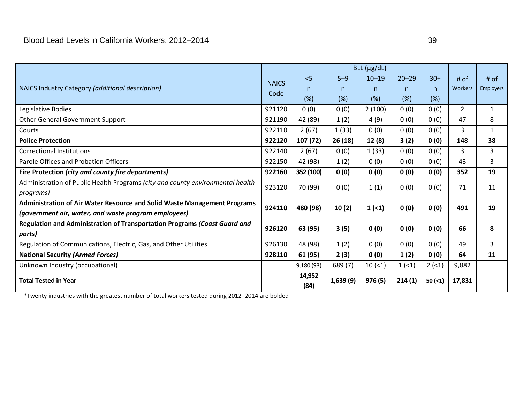| NAICS Industry Category (additional description)                               | <b>NAICS</b> | < 5            | $5 - 9$  | $10 - 19$ | $20 - 29$ | $30+$ | # of    | $#$ of           |
|--------------------------------------------------------------------------------|--------------|----------------|----------|-----------|-----------|-------|---------|------------------|
|                                                                                | Code         | n.             | n.       | n.        | n.        | n.    | Workers | <b>Employers</b> |
|                                                                                |              | (%)            | (%)      | (%)       | (% )      | (%)   |         |                  |
| Legislative Bodies                                                             | 921120       | 0(0)           | 0(0)     | 2(100)    | 0(0)      | 0(0)  | 2       | $\mathbf{1}$     |
| <b>Other General Government Support</b>                                        | 921190       | 42 (89)        | 1(2)     | 4(9)      | 0(0)      | 0(0)  | 47      | 8                |
| Courts                                                                         | 922110       | 2(67)          | 1(33)    | 0(0)      | 0(0)      | 0(0)  | 3       | 1                |
| <b>Police Protection</b>                                                       | 922120       | 107 (72)       | 26(18)   | 12 (8)    | 3(2)      | 0(0)  | 148     | 38               |
| <b>Correctional Institutions</b>                                               | 922140       | 2(67)          | 0(0)     | 1(33)     | 0(0)      | 0(0)  | 3       | 3                |
| Parole Offices and Probation Officers                                          | 922150       | 42 (98)        | 1(2)     | 0(0)      | 0(0)      | 0(0)  | 43      | $\overline{3}$   |
| Fire Protection (city and county fire departments)                             | 922160       | 352 (100)      | 0(0)     | 0(0)      | 0(0)      | 0(0)  | 352     | 19               |
| Administration of Public Health Programs (city and county environmental health | 923120       | 70 (99)        | 0(0)     | 1(1)      | 0(0)      | 0(0)  | 71      | 11               |
| programs)                                                                      |              |                |          |           |           |       |         |                  |
| Administration of Air Water Resource and Solid Waste Management Programs       | 924110       | 480 (98)       | 10(2)    | 1(1)      | 0(0)      | 0(0)  | 491     | 19               |
| (government air, water, and waste program employees)                           |              |                |          |           |           |       |         |                  |
| Regulation and Administration of Transportation Programs (Coast Guard and      | 926120       | 63 (95)        | 3(5)     | 0(0)      | 0(0)      | 0(0)  | 66      | 8                |
| ports)                                                                         |              |                |          |           |           |       |         |                  |
| Regulation of Communications, Electric, Gas, and Other Utilities               | 926130       | 48 (98)        | 1(2)     | 0(0)      | 0(0)      | 0(0)  | 49      | 3                |
| <b>National Security (Armed Forces)</b>                                        | 928110       | 61 (95)        | 2(3)     | 0(0)      | 1(2)      | 0(0)  | 64      | 11               |
| Unknown Industry (occupational)                                                |              | 9,180(93)      | 689 (7)  | 10(1)     | 1(1)      | 2(1)  | 9,882   |                  |
| <b>Total Tested in Year</b>                                                    |              | 14,952<br>(84) | 1,639(9) | 976 (5)   | 214(1)    | 50(1) | 17,831  |                  |

\*Twenty industries with the greatest number of total workers tested during 2012–2014 are bolded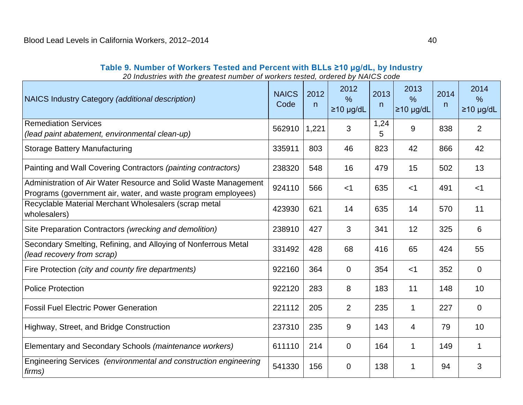<span id="page-43-0"></span>

| 20 Industries with the greatest number of workers tested, ordered by NAICS code                                                  |                      |           |                                          |           |                                 |           |                                 |
|----------------------------------------------------------------------------------------------------------------------------------|----------------------|-----------|------------------------------------------|-----------|---------------------------------|-----------|---------------------------------|
| NAICS Industry Category (additional description)                                                                                 | <b>NAICS</b><br>Code | 2012<br>n | 2012<br>$\frac{0}{0}$<br>$\geq$ 10 µg/dL | 2013<br>n | 2013<br>$\%$<br>$\geq$ 10 µg/dL | 2014<br>n | 2014<br>$\%$<br>$\geq$ 10 µg/dL |
| <b>Remediation Services</b><br>(lead paint abatement, environmental clean-up)                                                    | 562910               | 1,221     | 3                                        | 1,24<br>5 | 9                               | 838       | $\overline{2}$                  |
| <b>Storage Battery Manufacturing</b>                                                                                             | 335911               | 803       | 46                                       | 823       | 42                              | 866       | 42                              |
| Painting and Wall Covering Contractors (painting contractors)                                                                    | 238320               | 548       | 16                                       | 479       | 15                              | 502       | 13                              |
| Administration of Air Water Resource and Solid Waste Management<br>Programs (government air, water, and waste program employees) | 924110               | 566       | $<$ 1                                    | 635       | $<$ 1                           | 491       | $<$ 1                           |
| Recyclable Material Merchant Wholesalers (scrap metal<br>wholesalers)                                                            | 423930               | 621       | 14                                       | 635       | 14                              | 570       | 11                              |
| Site Preparation Contractors (wrecking and demolition)                                                                           | 238910               | 427       | 3                                        | 341       | 12                              | 325       | 6                               |
| Secondary Smelting, Refining, and Alloying of Nonferrous Metal<br>(lead recovery from scrap)                                     | 331492               | 428       | 68                                       | 416       | 65                              | 424       | 55                              |
| Fire Protection (city and county fire departments)                                                                               | 922160               | 364       | $\mathbf 0$                              | 354       | $<$ 1                           | 352       | $\overline{0}$                  |
| <b>Police Protection</b>                                                                                                         | 922120               | 283       | 8                                        | 183       | 11                              | 148       | 10                              |
| <b>Fossil Fuel Electric Power Generation</b>                                                                                     | 221112               | 205       | $\overline{2}$                           | 235       | $\mathbf{1}$                    | 227       | $\mathbf 0$                     |
| Highway, Street, and Bridge Construction                                                                                         | 237310               | 235       | 9                                        | 143       | 4                               | 79        | 10                              |
| Elementary and Secondary Schools (maintenance workers)                                                                           | 611110               | 214       | 0                                        | 164       | 1                               | 149       | 1                               |
| Engineering Services (environmental and construction engineering<br>firms)                                                       | 541330               | 156       | 0                                        | 138       | 1                               | 94        | 3                               |

**Table 9. Number of Workers Tested and Percent with BLLs ≥10 µg/dL, by Industry**